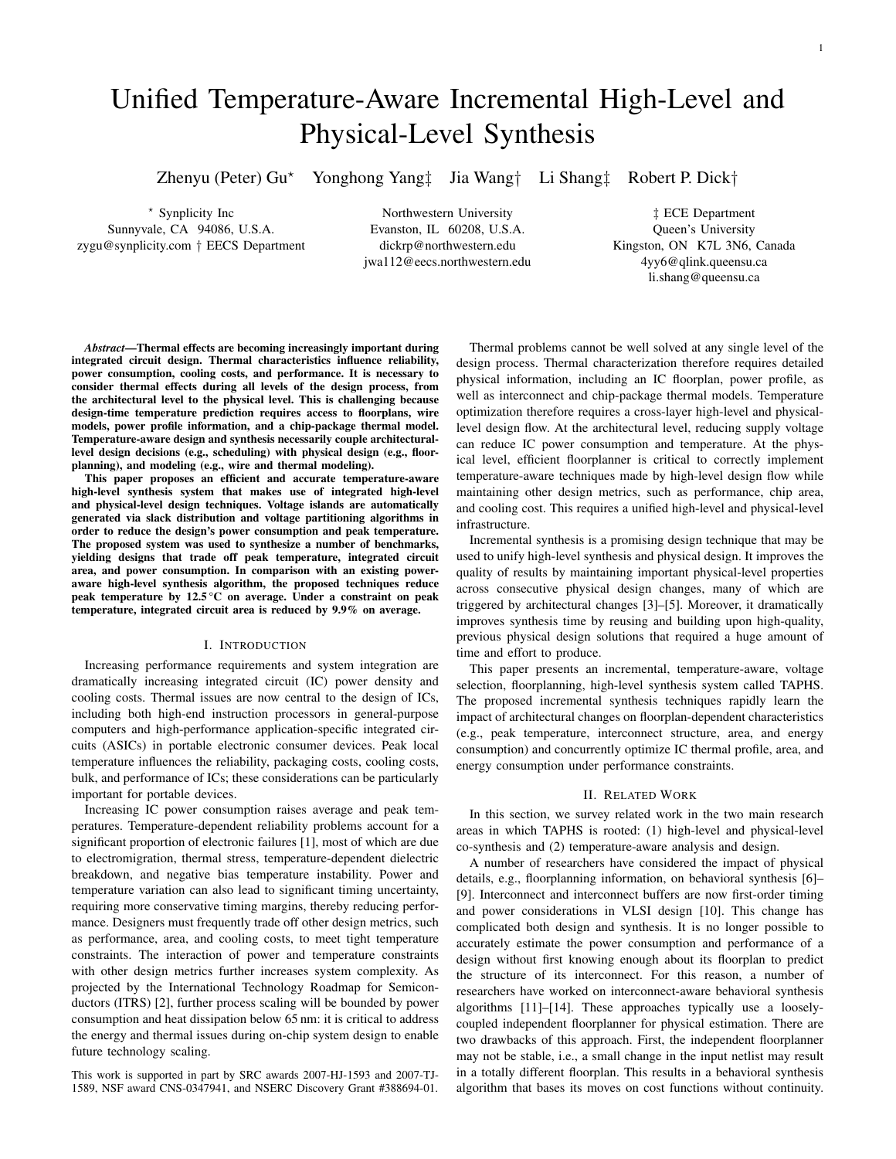# Unified Temperature-Aware Incremental High-Level and Physical-Level Synthesis

Zhenyu (Peter) Gu<sup>\*</sup> Yonghong Yang‡ Jia Wang† Li Shang‡ Robert P. Dick†

⋆ Synplicity Inc Sunnyvale, CA 94086, U.S.A. zygu@synplicity.com † EECS Department

Northwestern University Evanston, IL 60208, U.S.A. dickrp@northwestern.edu jwa112@eecs.northwestern.edu

‡ ECE Department Queen's University Kingston, ON K7L 3N6, Canada 4yy6@qlink.queensu.ca li.shang@queensu.ca

*Abstract*—Thermal effects are becoming increasingly important during integrated circuit design. Thermal characteristics influence reliability, power consumption, cooling costs, and performance. It is necessary to consider thermal effects during all levels of the design process, from the architectural level to the physical level. This is challenging because design-time temperature prediction requires access to floorplans, wire models, power profile information, and a chip-package thermal model. Temperature-aware design and synthesis necessarily couple architecturallevel design decisions (e.g., scheduling) with physical design (e.g., floorplanning), and modeling (e.g., wire and thermal modeling).

This paper proposes an efficient and accurate temperature-aware high-level synthesis system that makes use of integrated high-level and physical-level design techniques. Voltage islands are automatically generated via slack distribution and voltage partitioning algorithms in order to reduce the design's power consumption and peak temperature. The proposed system was used to synthesize a number of benchmarks, yielding designs that trade off peak temperature, integrated circuit area, and power consumption. In comparison with an existing poweraware high-level synthesis algorithm, the proposed techniques reduce peak temperature by 12.5 °C on average. Under a constraint on peak temperature, integrated circuit area is reduced by 9.9% on average.

## I. INTRODUCTION

Increasing performance requirements and system integration are dramatically increasing integrated circuit (IC) power density and cooling costs. Thermal issues are now central to the design of ICs, including both high-end instruction processors in general-purpose computers and high-performance application-specific integrated circuits (ASICs) in portable electronic consumer devices. Peak local temperature influences the reliability, packaging costs, cooling costs, bulk, and performance of ICs; these considerations can be particularly important for portable devices.

Increasing IC power consumption raises average and peak temperatures. Temperature-dependent reliability problems account for a significant proportion of electronic failures [1], most of which are due to electromigration, thermal stress, temperature-dependent dielectric breakdown, and negative bias temperature instability. Power and temperature variation can also lead to significant timing uncertainty, requiring more conservative timing margins, thereby reducing performance. Designers must frequently trade off other design metrics, such as performance, area, and cooling costs, to meet tight temperature constraints. The interaction of power and temperature constraints with other design metrics further increases system complexity. As projected by the International Technology Roadmap for Semiconductors (ITRS) [2], further process scaling will be bounded by power consumption and heat dissipation below 65 nm: it is critical to address the energy and thermal issues during on-chip system design to enable future technology scaling.

This work is supported in part by SRC awards 2007-HJ-1593 and 2007-TJ-1589, NSF award CNS-0347941, and NSERC Discovery Grant #388694-01.

Thermal problems cannot be well solved at any single level of the design process. Thermal characterization therefore requires detailed physical information, including an IC floorplan, power profile, as well as interconnect and chip-package thermal models. Temperature optimization therefore requires a cross-layer high-level and physicallevel design flow. At the architectural level, reducing supply voltage can reduce IC power consumption and temperature. At the physical level, efficient floorplanner is critical to correctly implement temperature-aware techniques made by high-level design flow while maintaining other design metrics, such as performance, chip area, and cooling cost. This requires a unified high-level and physical-level infrastructure.

Incremental synthesis is a promising design technique that may be used to unify high-level synthesis and physical design. It improves the quality of results by maintaining important physical-level properties across consecutive physical design changes, many of which are triggered by architectural changes [3]–[5]. Moreover, it dramatically improves synthesis time by reusing and building upon high-quality, previous physical design solutions that required a huge amount of time and effort to produce.

This paper presents an incremental, temperature-aware, voltage selection, floorplanning, high-level synthesis system called TAPHS. The proposed incremental synthesis techniques rapidly learn the impact of architectural changes on floorplan-dependent characteristics (e.g., peak temperature, interconnect structure, area, and energy consumption) and concurrently optimize IC thermal profile, area, and energy consumption under performance constraints.

#### II. RELATED WORK

In this section, we survey related work in the two main research areas in which TAPHS is rooted: (1) high-level and physical-level co-synthesis and (2) temperature-aware analysis and design.

A number of researchers have considered the impact of physical details, e.g., floorplanning information, on behavioral synthesis [6]– [9]. Interconnect and interconnect buffers are now first-order timing and power considerations in VLSI design [10]. This change has complicated both design and synthesis. It is no longer possible to accurately estimate the power consumption and performance of a design without first knowing enough about its floorplan to predict the structure of its interconnect. For this reason, a number of researchers have worked on interconnect-aware behavioral synthesis algorithms [11]–[14]. These approaches typically use a looselycoupled independent floorplanner for physical estimation. There are two drawbacks of this approach. First, the independent floorplanner may not be stable, i.e., a small change in the input netlist may result in a totally different floorplan. This results in a behavioral synthesis algorithm that bases its moves on cost functions without continuity.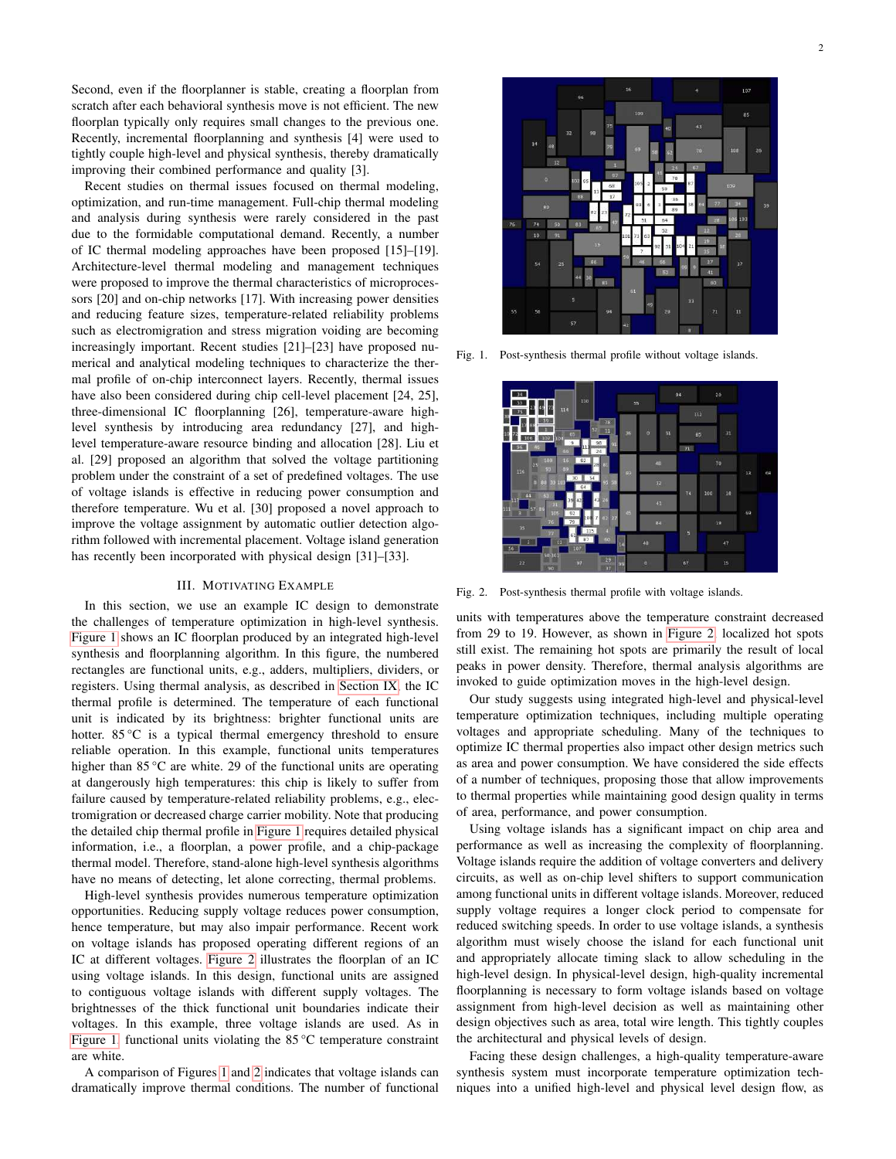Second, even if the floorplanner is stable, creating a floorplan from scratch after each behavioral synthesis move is not efficient. The new floorplan typically only requires small changes to the previous one. Recently, incremental floorplanning and synthesis [4] were used to tightly couple high-level and physical synthesis, thereby dramatically improving their combined performance and quality [3].

Recent studies on thermal issues focused on thermal modeling, optimization, and run-time management. Full-chip thermal modeling and analysis during synthesis were rarely considered in the past due to the formidable computational demand. Recently, a number of IC thermal modeling approaches have been proposed [15]–[19]. Architecture-level thermal modeling and management techniques were proposed to improve the thermal characteristics of microprocessors [20] and on-chip networks [17]. With increasing power densities and reducing feature sizes, temperature-related reliability problems such as electromigration and stress migration voiding are becoming increasingly important. Recent studies [21]–[23] have proposed numerical and analytical modeling techniques to characterize the thermal profile of on-chip interconnect layers. Recently, thermal issues have also been considered during chip cell-level placement [24, 25], three-dimensional IC floorplanning [26], temperature-aware highlevel synthesis by introducing area redundancy [27], and highlevel temperature-aware resource binding and allocation [28]. Liu et al. [29] proposed an algorithm that solved the voltage partitioning problem under the constraint of a set of predefined voltages. The use of voltage islands is effective in reducing power consumption and therefore temperature. Wu et al. [30] proposed a novel approach to improve the voltage assignment by automatic outlier detection algorithm followed with incremental placement. Voltage island generation has recently been incorporated with physical design [31]–[33].

## III. MOTIVATING EXAMPLE

<span id="page-1-2"></span>In this section, we use an example IC design to demonstrate the challenges of temperature optimization in high-level synthesis. [Figure 1](#page-1-0) shows an IC floorplan produced by an integrated high-level synthesis and floorplanning algorithm. In this figure, the numbered rectangles are functional units, e.g., adders, multipliers, dividers, or registers. Using thermal analysis, as described in [Section IX,](#page-8-0) the IC thermal profile is determined. The temperature of each functional unit is indicated by its brightness: brighter functional units are hotter. 85 °C is a typical thermal emergency threshold to ensure reliable operation. In this example, functional units temperatures higher than 85 °C are white. 29 of the functional units are operating at dangerously high temperatures: this chip is likely to suffer from failure caused by temperature-related reliability problems, e.g., electromigration or decreased charge carrier mobility. Note that producing the detailed chip thermal profile in [Figure 1](#page-1-0) requires detailed physical information, i.e., a floorplan, a power profile, and a chip-package thermal model. Therefore, stand-alone high-level synthesis algorithms have no means of detecting, let alone correcting, thermal problems.

High-level synthesis provides numerous temperature optimization opportunities. Reducing supply voltage reduces power consumption, hence temperature, but may also impair performance. Recent work on voltage islands has proposed operating different regions of an IC at different voltages. [Figure 2](#page-1-1) illustrates the floorplan of an IC using voltage islands. In this design, functional units are assigned to contiguous voltage islands with different supply voltages. The brightnesses of the thick functional unit boundaries indicate their voltages. In this example, three voltage islands are used. As in [Figure 1,](#page-1-0) functional units violating the 85 °C temperature constraint are white.

A comparison of Figures [1](#page-1-0) and [2](#page-1-1) indicates that voltage islands can dramatically improve thermal conditions. The number of functional



<span id="page-1-0"></span>Fig. 1. Post-synthesis thermal profile without voltage islands.



Fig. 2. Post-synthesis thermal profile with voltage islands.

<span id="page-1-1"></span>units with temperatures above the temperature constraint decreased from 29 to 19. However, as shown in [Figure 2,](#page-1-1) localized hot spots still exist. The remaining hot spots are primarily the result of local peaks in power density. Therefore, thermal analysis algorithms are invoked to guide optimization moves in the high-level design.

Our study suggests using integrated high-level and physical-level temperature optimization techniques, including multiple operating voltages and appropriate scheduling. Many of the techniques to optimize IC thermal properties also impact other design metrics such as area and power consumption. We have considered the side effects of a number of techniques, proposing those that allow improvements to thermal properties while maintaining good design quality in terms of area, performance, and power consumption.

Using voltage islands has a significant impact on chip area and performance as well as increasing the complexity of floorplanning. Voltage islands require the addition of voltage converters and delivery circuits, as well as on-chip level shifters to support communication among functional units in different voltage islands. Moreover, reduced supply voltage requires a longer clock period to compensate for reduced switching speeds. In order to use voltage islands, a synthesis algorithm must wisely choose the island for each functional unit and appropriately allocate timing slack to allow scheduling in the high-level design. In physical-level design, high-quality incremental floorplanning is necessary to form voltage islands based on voltage assignment from high-level decision as well as maintaining other design objectives such as area, total wire length. This tightly couples the architectural and physical levels of design.

Facing these design challenges, a high-quality temperature-aware synthesis system must incorporate temperature optimization techniques into a unified high-level and physical level design flow, as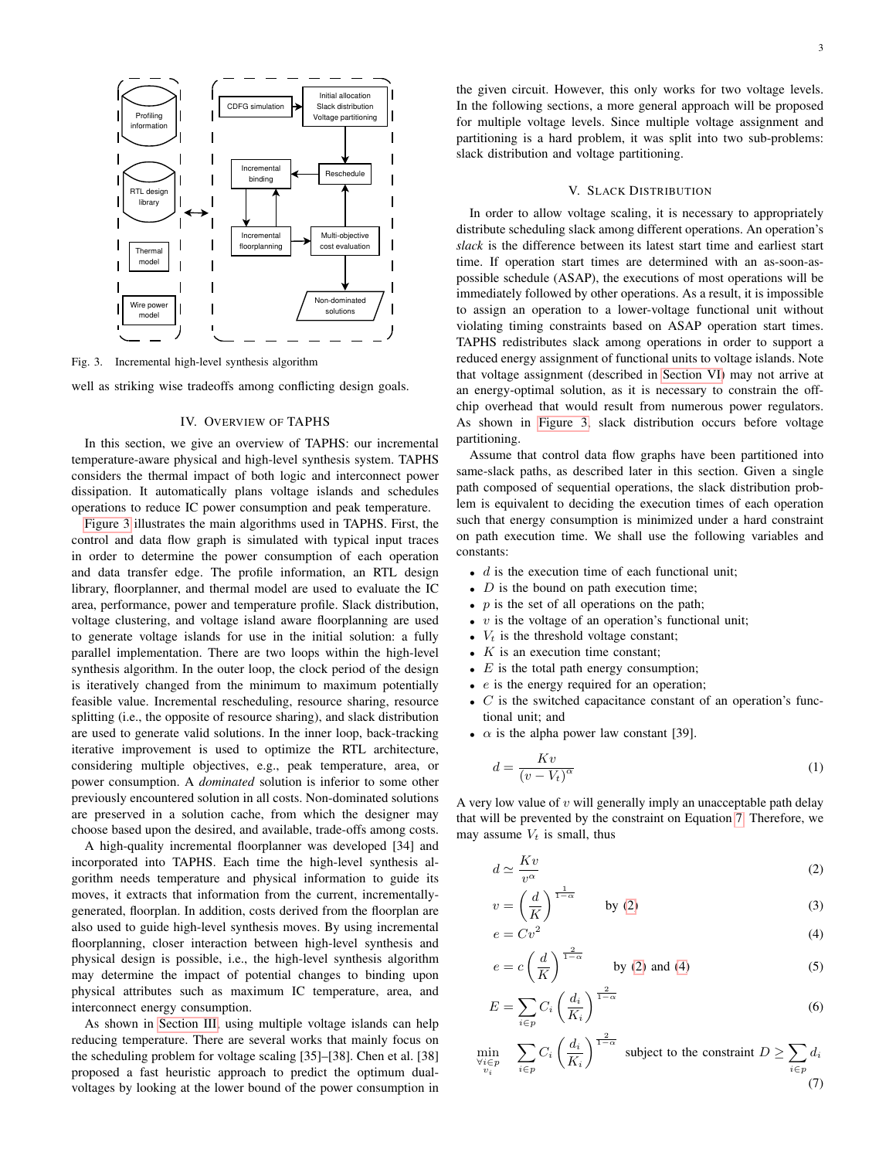

<span id="page-2-0"></span>Fig. 3. Incremental high-level synthesis algorithm

well as striking wise tradeoffs among conflicting design goals.

## IV. OVERVIEW OF TAPHS

<span id="page-2-5"></span>In this section, we give an overview of TAPHS: our incremental temperature-aware physical and high-level synthesis system. TAPHS considers the thermal impact of both logic and interconnect power dissipation. It automatically plans voltage islands and schedules operations to reduce IC power consumption and peak temperature.

[Figure 3](#page-2-0) illustrates the main algorithms used in TAPHS. First, the control and data flow graph is simulated with typical input traces in order to determine the power consumption of each operation and data transfer edge. The profile information, an RTL design library, floorplanner, and thermal model are used to evaluate the IC area, performance, power and temperature profile. Slack distribution, voltage clustering, and voltage island aware floorplanning are used to generate voltage islands for use in the initial solution: a fully parallel implementation. There are two loops within the high-level synthesis algorithm. In the outer loop, the clock period of the design is iteratively changed from the minimum to maximum potentially feasible value. Incremental rescheduling, resource sharing, resource splitting (i.e., the opposite of resource sharing), and slack distribution are used to generate valid solutions. In the inner loop, back-tracking iterative improvement is used to optimize the RTL architecture, considering multiple objectives, e.g., peak temperature, area, or power consumption. A *dominated* solution is inferior to some other previously encountered solution in all costs. Non-dominated solutions are preserved in a solution cache, from which the designer may choose based upon the desired, and available, trade-offs among costs.

A high-quality incremental floorplanner was developed [34] and incorporated into TAPHS. Each time the high-level synthesis algorithm needs temperature and physical information to guide its moves, it extracts that information from the current, incrementallygenerated, floorplan. In addition, costs derived from the floorplan are also used to guide high-level synthesis moves. By using incremental floorplanning, closer interaction between high-level synthesis and physical design is possible, i.e., the high-level synthesis algorithm may determine the impact of potential changes to binding upon physical attributes such as maximum IC temperature, area, and interconnect energy consumption.

As shown in [Section III,](#page-1-2) using multiple voltage islands can help reducing temperature. There are several works that mainly focus on the scheduling problem for voltage scaling [35]–[38]. Chen et al. [38] proposed a fast heuristic approach to predict the optimum dualvoltages by looking at the lower bound of the power consumption in the given circuit. However, this only works for two voltage levels. In the following sections, a more general approach will be proposed for multiple voltage levels. Since multiple voltage assignment and partitioning is a hard problem, it was split into two sub-problems: slack distribution and voltage partitioning.

## V. SLACK DISTRIBUTION

<span id="page-2-4"></span>In order to allow voltage scaling, it is necessary to appropriately distribute scheduling slack among different operations. An operation's *slack* is the difference between its latest start time and earliest start time. If operation start times are determined with an as-soon-aspossible schedule (ASAP), the executions of most operations will be immediately followed by other operations. As a result, it is impossible to assign an operation to a lower-voltage functional unit without violating timing constraints based on ASAP operation start times. TAPHS redistributes slack among operations in order to support a reduced energy assignment of functional units to voltage islands. Note that voltage assignment (described in [Section VI\)](#page-3-0) may not arrive at an energy-optimal solution, as it is necessary to constrain the offchip overhead that would result from numerous power regulators. As shown in [Figure 3,](#page-2-0) slack distribution occurs before voltage partitioning.

Assume that control data flow graphs have been partitioned into same-slack paths, as described later in this section. Given a single path composed of sequential operations, the slack distribution problem is equivalent to deciding the execution times of each operation such that energy consumption is minimized under a hard constraint on path execution time. We shall use the following variables and constants:

- $\bullet$  d is the execution time of each functional unit;
- $D$  is the bound on path execution time;
- $p$  is the set of all operations on the path;
- $\bullet$  v is the voltage of an operation's functional unit;
- $V_t$  is the threshold voltage constant;
- $K$  is an execution time constant;
- $E$  is the total path energy consumption;
- $\bullet$  e is the energy required for an operation;
- $\bullet$   $C$  is the switched capacitance constant of an operation's functional unit; and
- $\alpha$  is the alpha power law constant [39].

$$
d = \frac{Kv}{(v - V_t)^{\alpha}}
$$
 (1)

A very low value of  $v$  will generally imply an unacceptable path delay that will be prevented by the constraint on Equation [7.](#page-2-1) Therefore, we may assume  $V_t$  is small, thus

<span id="page-2-2"></span>
$$
d \simeq \frac{Kv}{v^{\alpha}} \tag{2}
$$

$$
v = \left(\frac{d}{K}\right)^{\frac{1}{1-\alpha}} \qquad \text{by (2)}\tag{3}
$$

<span id="page-2-3"></span>
$$
e = Cv^2 \tag{4}
$$

$$
e = c \left(\frac{d}{K}\right)^{\frac{2}{1-\alpha}}
$$
 by (2) and (4) (5)

<span id="page-2-1"></span>
$$
E = \sum_{i \in p} C_i \left(\frac{d_i}{K_i}\right)^{\frac{2}{1-\alpha}}
$$
 (6)

$$
\min_{\substack{\forall i \in p \\ v_i}} \quad \sum_{i \in p} C_i \left(\frac{d_i}{K_i}\right)^{\frac{2}{1-\alpha}} \text{ subject to the constraint } D \ge \sum_{i \in p} d_i
$$
\n
$$
(7)
$$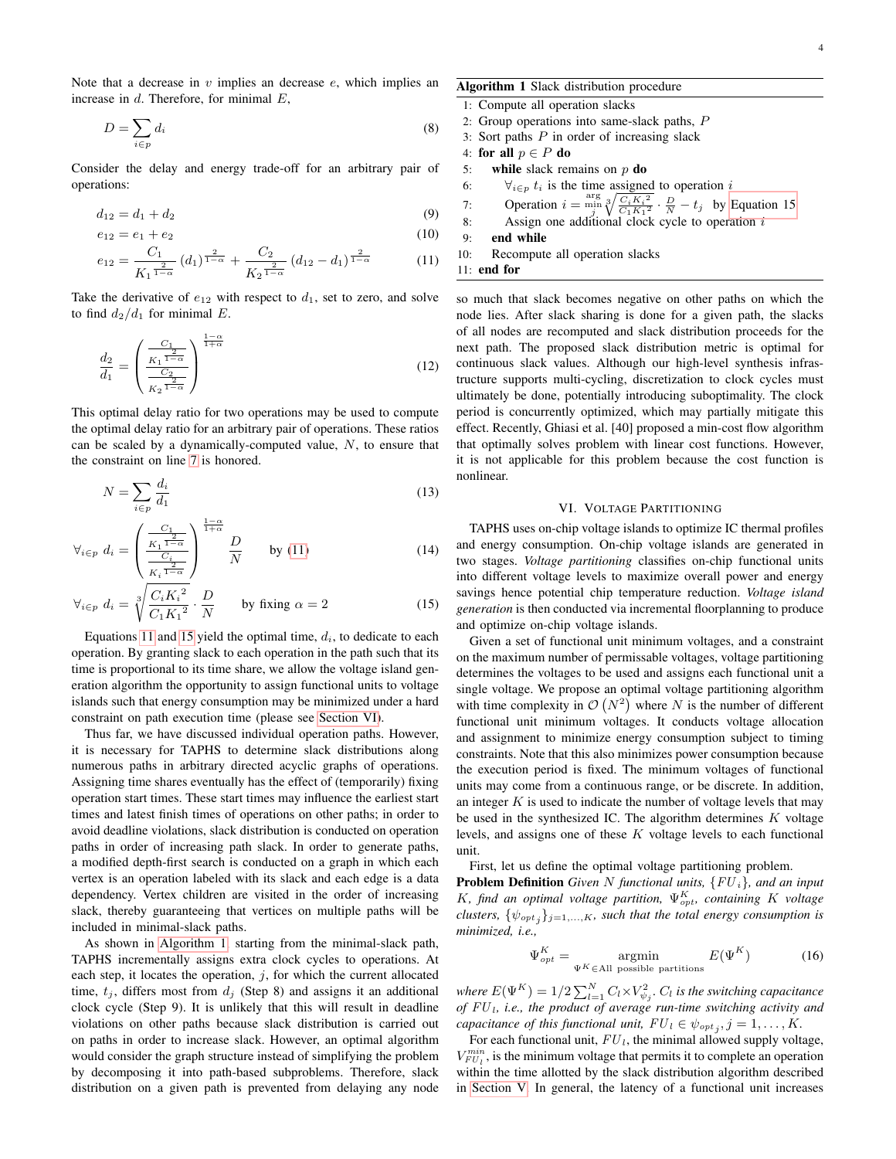Note that a decrease in  $v$  implies an decrease  $e$ , which implies an increase in  $d$ . Therefore, for minimal  $E$ ,

$$
D = \sum_{i \in p} d_i \tag{8}
$$

Consider the delay and energy trade-off for an arbitrary pair of operations:

$$
d_{12} = d_1 + d_2 \tag{9}
$$

$$
e_{12} = e_1 + e_2 \tag{10}
$$

$$
e_{12} = \frac{C_1}{K_1^{\frac{2}{1-\alpha}}} (d_1)^{\frac{2}{1-\alpha}} + \frac{C_2}{K_2^{\frac{2}{1-\alpha}}} (d_{12} - d_1)^{\frac{2}{1-\alpha}} \tag{11}
$$

Take the derivative of  $e_{12}$  with respect to  $d_1$ , set to zero, and solve to find  $d_2/d_1$  for minimal E.

$$
\frac{d_2}{d_1} = \left(\frac{\frac{C_1}{K_1 \frac{2}{1-\alpha}}}{\frac{C_2}{K_2 \frac{2}{1-\alpha}}}\right)^{\frac{1-\alpha}{1+\alpha}}
$$
(12)

This optimal delay ratio for two operations may be used to compute the optimal delay ratio for an arbitrary pair of operations. These ratios can be scaled by a dynamically-computed value,  $N$ , to ensure that the constraint on line [7](#page-2-1) is honored.

$$
N = \sum_{i \in p} \frac{d_i}{d_1} \tag{13}
$$

$$
\forall_{i \in p} \ d_i = \left(\frac{\frac{C_1}{K_1^{\frac{2}{1-\alpha}}}}{\frac{C_i}{K_i^{\frac{2}{1-\alpha}}}}\right)^{\frac{1-\alpha}{1+\alpha}} \frac{D}{N} \qquad \text{by (11)} \tag{14}
$$

$$
\forall_{i \in p} \ d_i = \sqrt[3]{\frac{C_i K_i^2}{C_1 K_1^2}} \cdot \frac{D}{N} \qquad \text{by fixing } \alpha = 2 \tag{15}
$$

Equations [11](#page-3-1) and [15](#page-3-2) yield the optimal time,  $d_i$ , to dedicate to each operation. By granting slack to each operation in the path such that its time is proportional to its time share, we allow the voltage island generation algorithm the opportunity to assign functional units to voltage islands such that energy consumption may be minimized under a hard constraint on path execution time (please see [Section VI\)](#page-3-0).

Thus far, we have discussed individual operation paths. However, it is necessary for TAPHS to determine slack distributions along numerous paths in arbitrary directed acyclic graphs of operations. Assigning time shares eventually has the effect of (temporarily) fixing operation start times. These start times may influence the earliest start times and latest finish times of operations on other paths; in order to avoid deadline violations, slack distribution is conducted on operation paths in order of increasing path slack. In order to generate paths, a modified depth-first search is conducted on a graph in which each vertex is an operation labeled with its slack and each edge is a data dependency. Vertex children are visited in the order of increasing slack, thereby guaranteeing that vertices on multiple paths will be included in minimal-slack paths.

As shown in [Algorithm 1,](#page-3-3) starting from the minimal-slack path, TAPHS incrementally assigns extra clock cycles to operations. At each step, it locates the operation,  $j$ , for which the current allocated time,  $t_i$ , differs most from  $d_i$  (Step 8) and assigns it an additional clock cycle (Step 9). It is unlikely that this will result in deadline violations on other paths because slack distribution is carried out on paths in order to increase slack. However, an optimal algorithm would consider the graph structure instead of simplifying the problem by decomposing it into path-based subproblems. Therefore, slack distribution on a given path is prevented from delaying any node <span id="page-3-3"></span>Algorithm 1 Slack distribution procedure

- 1: Compute all operation slacks 2: Group operations into same-slack paths, P
- 3: Sort paths  $P$  in order of increasing slack
- 
- 4: for all  $p \in P$  do<br>5: while slack ren
- while slack remains on  $p$  do
- 6:  $\forall_{i \in p} t_i$  is the time assigned to operation i

7: Operation 
$$
i = \frac{\arg}{j} \sqrt[3]{\frac{C_i K_i^2}{C_1 K_1^2}} \cdot \frac{D}{N} - t_j
$$
 by Equation 15

8: Speration  $\ell = \frac{n}{j} \sqrt{C_1 K_1^2}$   $N = \frac{n}{j}$  by Equal 8:

9: end while

<span id="page-3-1"></span>10: Recompute all operation slacks

11: end for

so much that slack becomes negative on other paths on which the node lies. After slack sharing is done for a given path, the slacks of all nodes are recomputed and slack distribution proceeds for the next path. The proposed slack distribution metric is optimal for continuous slack values. Although our high-level synthesis infrastructure supports multi-cycling, discretization to clock cycles must ultimately be done, potentially introducing suboptimality. The clock period is concurrently optimized, which may partially mitigate this effect. Recently, Ghiasi et al. [40] proposed a min-cost flow algorithm that optimally solves problem with linear cost functions. However, it is not applicable for this problem because the cost function is nonlinear.

#### VI. VOLTAGE PARTITIONING

<span id="page-3-0"></span>TAPHS uses on-chip voltage islands to optimize IC thermal profiles and energy consumption. On-chip voltage islands are generated in two stages. *Voltage partitioning* classifies on-chip functional units into different voltage levels to maximize overall power and energy savings hence potential chip temperature reduction. *Voltage island generation* is then conducted via incremental floorplanning to produce and optimize on-chip voltage islands.

<span id="page-3-2"></span>Given a set of functional unit minimum voltages, and a constraint on the maximum number of permissable voltages, voltage partitioning determines the voltages to be used and assigns each functional unit a single voltage. We propose an optimal voltage partitioning algorithm with time complexity in  $\mathcal{O}(N^2)$  where N is the number of different functional unit minimum voltages. It conducts voltage allocation and assignment to minimize energy consumption subject to timing constraints. Note that this also minimizes power consumption because the execution period is fixed. The minimum voltages of functional units may come from a continuous range, or be discrete. In addition, an integer  $K$  is used to indicate the number of voltage levels that may be used in the synthesized IC. The algorithm determines  $K$  voltage levels, and assigns one of these  $K$  voltage levels to each functional unit.

First, let us define the optimal voltage partitioning problem.

Problem Definition *Given* N *functional units,* {FU <sup>i</sup>}*, and an input* K, find an optimal voltage partition,  $\Psi_{opt}^{K}$ , containing K voltage  $clusters, \ \{\psi_{opt}_j\}_{j=1,...,K}$ , such that the total energy consumption is *minimized, i.e.,*

$$
\Psi_{opt}^{K} = \underset{\Psi^{K} \in \text{All possible partitions}}{\operatorname{argmin}} E(\Psi^{K})
$$
\n(16)

where  $E(\Psi^K) = 1/2 \sum_{l=1}^{N} C_l \times V_{\psi_j}^2$ .  $C_l$  *is the switching capacitance of* FU <sup>l</sup>*, i.e., the product of average run-time switching activity and capacitance of this functional unit,*  $FU_l \in \psi_{opt_j}, j = 1, \ldots, K$ .

For each functional unit,  $FU<sub>l</sub>$ , the minimal allowed supply voltage,  $V_{FU}^{min}$ , is the minimum voltage that permits it to complete an operation within the time allotted by the slack distribution algorithm described in [Section V.](#page-2-4) In general, the latency of a functional unit increases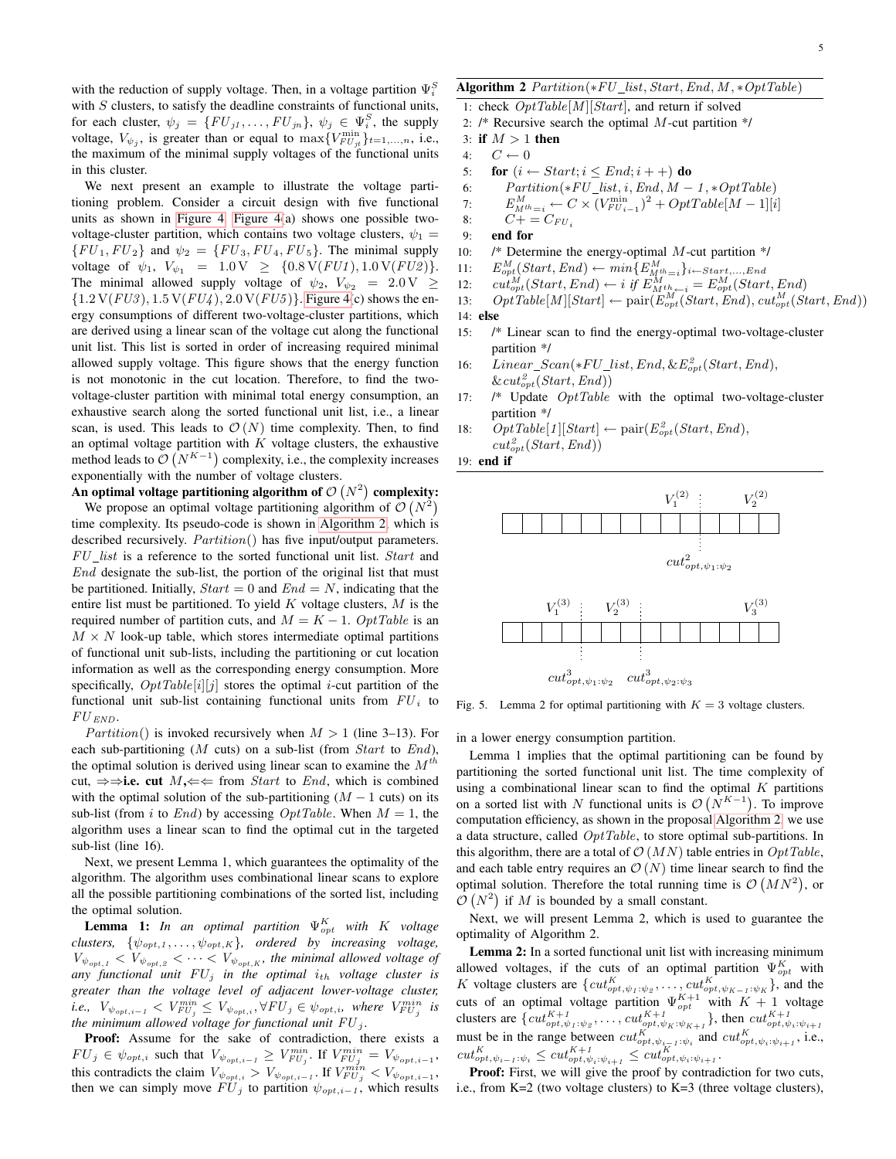with the reduction of supply voltage. Then, in a voltage partition  $\Psi_i^S$ with  $S$  clusters, to satisfy the deadline constraints of functional units, for each cluster,  $\psi_j = \{ FU_{j1}, \dots, FU_{jn} \}, \ \psi_j \in \Psi_i^S$ , the supply voltage,  $V_{\psi_j}$ , is greater than or equal to  $\max\{V_{FU_{jt}}^{\min}\}_{t=1,\dots,n}$ , i.e., the maximum of the minimal supply voltages of the functional units in this cluster.

We next present an example to illustrate the voltage partitioning problem. Consider a circuit design with five functional units as shown in [Figure 4. Figure 4\(](#page-5-0)a) shows one possible twovoltage-cluster partition, which contains two voltage clusters,  $\psi_1$  =  $\{FU_1, FU_2\}$  and  $\psi_2 = \{FU_3, FU_4, FU_5\}$ . The minimal supply voltage of  $\psi_1$ ,  $V_{\psi_1} = 1.0 \text{ V } \geq \{0.8 \text{ V}(FU1), 1.0 \text{ V}(FU2)\}.$ The minimal allowed supply voltage of  $\psi_2$ ,  $V_{\psi_2}$  = 2.0 V  $\geq$  ${1.2 V(FU3), 1.5 V(FU4), 2.0 V(FU5)}$ . [Figure 4\(](#page-5-0)c) shows the energy consumptions of different two-voltage-cluster partitions, which are derived using a linear scan of the voltage cut along the functional unit list. This list is sorted in order of increasing required minimal allowed supply voltage. This figure shows that the energy function is not monotonic in the cut location. Therefore, to find the twovoltage-cluster partition with minimal total energy consumption, an exhaustive search along the sorted functional unit list, i.e., a linear scan, is used. This leads to  $\mathcal{O}(N)$  time complexity. Then, to find an optimal voltage partition with  $K$  voltage clusters, the exhaustive method leads to  $\mathcal{O}(N^{K-1})$  complexity, i.e., the complexity increases exponentially with the number of voltage clusters.

An optimal voltage partitioning algorithm of  $\mathcal{O}(N^2)$  complexity: We propose an optimal voltage partitioning algorithm of  $\mathcal{O}(N^2)$ time complexity. Its pseudo-code is shown in [Algorithm 2,](#page-4-0) which is described recursively.  $Partition()$  has five input/output parameters. FU list is a reference to the sorted functional unit list. Start and End designate the sub-list, the portion of the original list that must be partitioned. Initially,  $Start = 0$  and  $End = N$ , indicating that the entire list must be partitioned. To yield  $K$  voltage clusters,  $M$  is the required number of partition cuts, and  $M = K - 1$ . OptTable is an  $M \times N$  look-up table, which stores intermediate optimal partitions of functional unit sub-lists, including the partitioning or cut location information as well as the corresponding energy consumption. More specifically,  $OptTable[i][j]$  stores the optimal *i*-cut partition of the functional unit sub-list containing functional units from  $FU_i$  to  ${\cal F}{\cal U}_{END}.$ 

*Partition*() is invoked recursively when  $M > 1$  (line 3–13). For each sub-partitioning (M cuts) on a sub-list (from  $Start$  to  $End$ ), the optimal solution is derived using linear scan to examine the  $M<sup>th</sup>$ cut,  $\Rightarrow$ i.e. cut  $M$ , $\Leftarrow$  from *Start* to *End*, which is combined with the optimal solution of the sub-partitioning  $(M - 1$  cuts) on its sub-list (from i to End) by accessing  $OptTable$ . When  $M = 1$ , the algorithm uses a linear scan to find the optimal cut in the targeted sub-list (line 16).

Next, we present Lemma 1, which guarantees the optimality of the algorithm. The algorithm uses combinational linear scans to explore all the possible partitioning combinations of the sorted list, including the optimal solution.

**Lemma 1:** In an optimal partition  $\Psi_{opt}^{K}$  with K voltage *clusters,*  $\{\psi_{opt,1}, \ldots, \psi_{opt,K}\}$ *, ordered by increasing voltage,*  $V_{\psi_{opt,1}} < V_{\psi_{opt,2}} < \cdots < V_{\psi_{opt,K}}$ , the minimal allowed voltage of any functional unit  $FU_j$  in the optimal  $i_{th}$  voltage cluster is *greater than the voltage level of adjacent lower-voltage cluster, i.e.,*  $V_{\psi_{opt,i-1}} < V_{FU_j}^{min} \leq V_{\psi_{opt,i}}, \forall FU_j \in \psi_{opt,i},$  where  $V_{FU_j}^{min}$  is *the minimum allowed voltage for functional unit*  $FU_j$ .

Proof: Assume for the sake of contradiction, there exists a  $FU_j \in \psi_{opt,i}$  such that  $V_{\psi_{opt,i-1}} \geq V_{FU_j}^{min}$ . If  $V_{FU_j}^{min} = V_{\psi_{opt,i-1}}$ , this contradicts the claim  $V_{\psi_{opt,i}} > V_{\psi_{opt,i-1}}$ . If  $V_{FU_j}^{min} < V_{\psi_{opt,i-1}}$ , then we can simply move  $FU_j$  to partition  $\psi_{opt,i-1}$ , which results <span id="page-4-0"></span>1: check  $OptTable[M][Start]$ , and return if solved

- 2:  $\frac{1}{2}$  Recursive search the optimal M-cut partition  $\frac{1}{\sqrt{2}}$
- 3: if  $M > 1$  then
- 4:  $C \leftarrow 0$ <br>5: **for**  $(i \leftarrow$
- 5: for  $(i \leftarrow Start; i \le End; i++)$  do<br>6:  $Partition(*FU\_list, i, End, M -$ 
	- $Partition(*FU\_list, i, End, M-1, *OptTable)$

7: 
$$
E_{M^{th}=i}^{M} \leftarrow C \times (V_{FU_{i-1}}^{\min})^2 + OptTable[M-1][i]
$$

- 8:  $C + = C_{FU}$
- 9: end for
- 10:  $\frac{1}{8}$  Determine the energy-optimal M-cut partition  $\frac{1}{8}$
- $11:$
- 11:  $E_{opt}^M(Start, End) \leftarrow min\{E_{M^{th}=i}^M\}_{i \leftarrow Start, ... , End}$ <br>12:  $cut_{opt}^M(Start, End) \leftarrow i$  if  $E_{M^{th}=i}^M = E_{opt}^M(Start, End)$
- 13:  $OptTable[M][Start] \leftarrow pair(\widetilde{E}_{opt}^M(Start, End), cut_{opt}^M(Start, End))$

14: else

- 15: /\* Linear scan to find the energy-optimal two-voltage-cluster partition \*/
- 16: Linear\_Scan(\* $FU\_list$ , End, & $E_{opt}^2(Start, End)$ ,  $\&cut_{opt}^2(Start, End))$
- 17:  $\frac{1}{2}$  Update  $\frac{OptTable}{2}$  with the optimal two-voltage-cluster partition \*/
- 18:  $OptTable[1][Start] \leftarrow pair(E_{opt}^2(Start, End),$  $cut_{opt}^2(Start, End))$

19: end if



<span id="page-4-1"></span>Fig. 5. Lemma 2 for optimal partitioning with  $K = 3$  voltage clusters.

in a lower energy consumption partition.

Lemma 1 implies that the optimal partitioning can be found by partitioning the sorted functional unit list. The time complexity of using a combinational linear scan to find the optimal  $K$  partitions on a sorted list with N functional units is  $\mathcal{O}(N^{K-1})$ . To improve computation efficiency, as shown in the proposal [Algorithm 2,](#page-4-0) we use a data structure, called  $OptTable$ , to store optimal sub-partitions. In this algorithm, there are a total of  $\mathcal{O}(MN)$  table entries in  $OptTable$ , and each table entry requires an  $\mathcal{O}(N)$  time linear search to find the optimal solution. Therefore the total running time is  $\mathcal{O}(MN^2)$ , or  $\mathcal{O}(N^2)$  if M is bounded by a small constant.

Next, we will present Lemma 2, which is used to guarantee the optimality of Algorithm 2.

Lemma 2: In a sorted functional unit list with increasing minimum allowed voltages, if the cuts of an optimal partition  $\Psi_{opt}^{K}$  with K voltage clusters are  $\{cut_{opt, \psi_1: \psi_2}^K, \ldots, cut_{opt, \psi_{K-1}: \psi_K}^K\}$ , and the cuts of an optimal voltage partition  $\Psi_{opt}^{K+1}$  with  $K+1$  voltage clusters are  $\{cut_{opt,\psi_1:\psi_2}^{K+1}, \ldots, cut_{opt,\psi_K:\psi_{K+1}}^{K+1}\}$ , then  $cut_{opt,\psi_i:\psi_{i+1}}^{K+1}$ must be in the range between  $cut_{opt,\psi_{i-1},\psi_i}^K$  and  $cut_{opt,\psi_i:\psi_{i+1}}^K$ , i.e.,  $cut_{opt, \psi_{i-1}:\psi_i}^K \leq cut_{opt, \psi_i:\psi_{i+1}}^{K+1} \leq cut_{opt, \psi_i:\psi_{i+1}}^K.$ 

Proof: First, we will give the proof by contradiction for two cuts, i.e., from K=2 (two voltage clusters) to K=3 (three voltage clusters),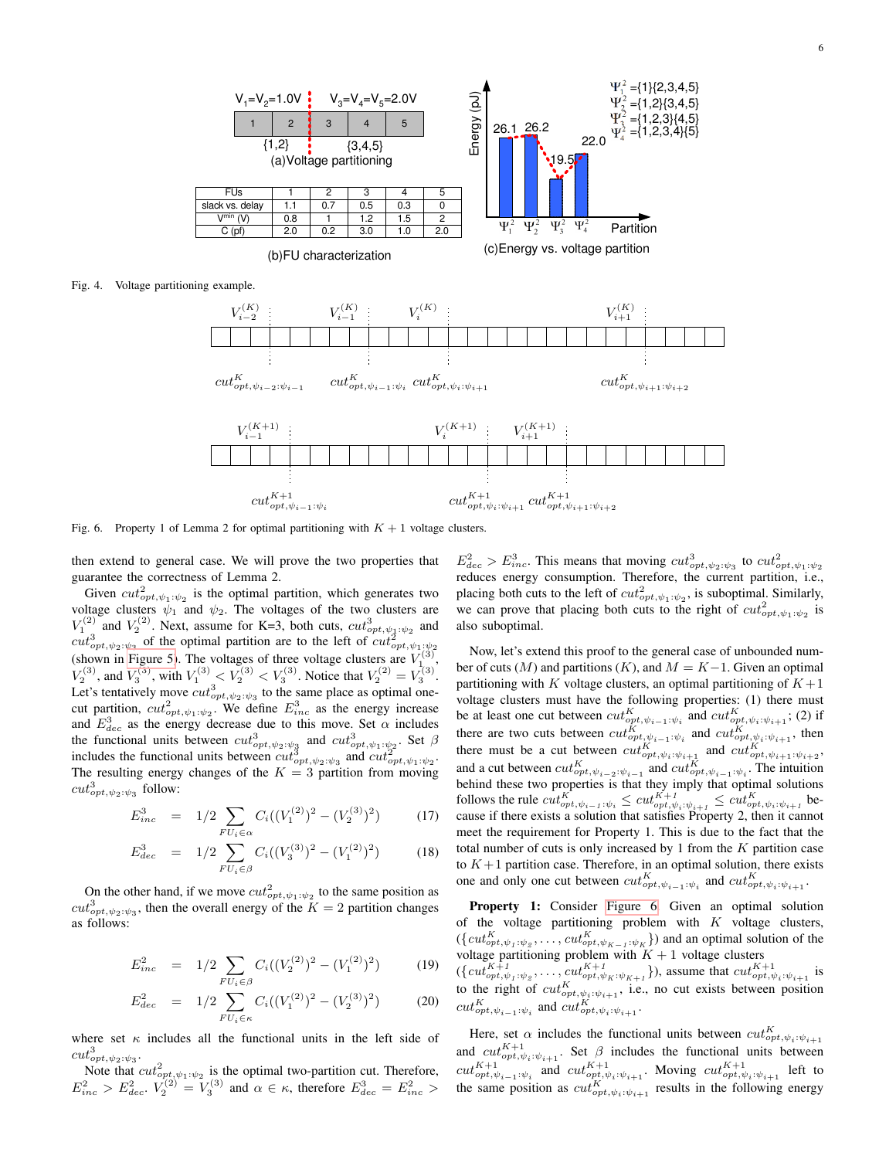<span id="page-5-0"></span>

<span id="page-5-1"></span>Fig. 6. Property 1 of Lemma 2 for optimal partitioning with  $K + 1$  voltage clusters.

then extend to general case. We will prove the two properties that guarantee the correctness of Lemma 2.

Given  $cut^2_{opt, \psi_1: \psi_2}$  is the optimal partition, which generates two voltage clusters  $\psi_1$  and  $\psi_2$ . The voltages of the two clusters are  $V_1^{(2)}$  and  $V_2^{(2)}$ . Next, assume for K=3, both cuts,  $cut_{opt, \psi_1: \psi_2}^3$  and  $cut^3_{opt, \psi_2; \psi_3}$  of the optimal partition are to the left of  $cut^3_{opt, \psi_1; \psi_2}$ <br>(chourn in Eigure 5). The voltages of three voltage elustry are  $V^{(3)}$ (shown in [Figure 5\)](#page-4-1). The voltages of three voltage clusters are  $V_{1_{\infty}}^{(3)}$ ,  $V_2^{(3)}$ , and  $V_3^{(3)}$ , with  $V_1^{(3)} < V_2^{(3)} < V_3^{(3)}$ . Notice that  $V_2^{(2)} = V_3^{(3)}$ . Let's tentatively move  $cut^3_{opt, \psi_2: \psi_3}$  to the same place as optimal onecut partition,  $cut^2_{opt, \psi_1: \psi_2}$ . We define  $E^3_{inc}$  as the energy increase and  $E_{dec}^3$  as the energy decrease due to this move. Set  $\alpha$  includes the functional units between  $cut^3_{opt, \psi_2:\psi_3}$  and  $cut^3_{opt, \psi_1:\psi_2}$ . Set  $\beta$ includes the functional units between  $cut_{opt, \psi_2: \psi_3}^3$  and  $cut_{opt, \psi_1: \psi_2}^2$ . The resulting energy changes of the  $K = 3$  partition from moving  $cut_{opt, \psi_2: \psi_3}^3$  follow:

$$
E_{inc}^3 = 1/2 \sum_{FU_i \in \alpha} C_i ((V_1^{(2)})^2 - (V_2^{(3)})^2)
$$
 (17)

$$
E_{dec}^3 = 1/2 \sum_{FU_i \in \beta} C_i ((V_3^{(3)})^2 - (V_1^{(2)})^2)
$$
 (18)

On the other hand, if we move  $cut^2_{opt, \psi_1: \psi_2}$  to the same position as  $cut^3_{opt, \psi_2: \psi_3}$ , then the overall energy of the  $K = 2$  partition changes as follows:

$$
E_{inc}^2 = 1/2 \sum_{FU_i \in \beta} C_i \left( (V_2^{(2)})^2 - (V_1^{(2)})^2 \right) \tag{19}
$$

$$
E_{dec}^2 = 1/2 \sum_{FU_i \in \kappa} C_i \left( (V_1^{(2)})^2 - (V_2^{(3)})^2 \right) \tag{20}
$$

where set  $\kappa$  includes all the functional units in the left side of  $cut^3_{opt, \psi_2: \psi_3}.$ 

Note that  $cut^2_{opt, \psi_1: \psi_2}$  is the optimal two-partition cut. Therefore,  $E_{inc}^2 > E_{dec}^2$ .  $V_2^{(2)} = V_3^{(3)}$  and  $\alpha \in \kappa$ , therefore  $E_{dec}^3 = E_{inc}^2 >$ 

 $E_{dec}^2 > E_{inc}^3$ . This means that moving  $cut_{opt,\psi_2:\psi_3}^3$  to  $cut_{opt,\psi_1:\psi_2}^2$ reduces energy consumption. Therefore, the current partition, i.e., placing both cuts to the left of  $cut^2_{opt, \psi_1: \psi_2}$ , is suboptimal. Similarly, we can prove that placing both cuts to the right of  $cut^2_{opt, \psi_1: \psi_2}$  is also suboptimal.

Now, let's extend this proof to the general case of unbounded number of cuts (M) and partitions (K), and  $M = K-1$ . Given an optimal partitioning with K voltage clusters, an optimal partitioning of  $K+1$ voltage clusters must have the following properties: (1) there must be at least one cut between  $cut_{opt, \psi_{i-1}:\psi_i}^K$  and  $cut_{opt, \psi_i:\psi_{i+1}}^K$ ; (2) if there are two cuts between  $cut_{opt,\psi_{i-1}:\psi_i}^K$  and  $cut_{opt,\psi_i:\psi_{i+1}}^K$ , then there must be a cut between  $cut_{opt,\psi_i:\psi_{i+1}}^K$  and  $cut_{opt,\psi_{i+1}:\psi_{i+2}}^K$ , and a cut between  $cut_{opt, \psi_{i-2}:\psi_{i-1}}^K$  and  $cut_{opt, \psi_{i-1}:\psi_i}^K$ . The intuition behind these two properties is that they imply that optimal solutions follows the rule  $cut_{opt,\psi_{i-1}:\psi_i}^K \leq cut_{opt,\psi_i:\psi_{i+1}}^{K+1} \leq cut_{opt,\psi_i:\psi_{i+1}}^K$  because if there exists a solution that satisfies Property 2, then it cannot meet the requirement for Property 1. This is due to the fact that the total number of cuts is only increased by 1 from the  $K$  partition case to  $K+1$  partition case. Therefore, in an optimal solution, there exists one and only one cut between  $cut_{opt, \psi_{i-1}:\psi_i}^K$  and  $cut_{opt, \psi_i:\psi_{i+1}}^K$ .

Property 1: Consider [Figure 6.](#page-5-1) Given an optimal solution of the voltage partitioning problem with  $K$  voltage clusters,  $(\{cut_{opt, \psi_1 : \psi_2}^K, \dots, cut_{opt, \psi_{K-1} : \psi_K}^K\})$  and an optimal solution of the voltage partitioning problem with  $K + 1$  voltage clusters

 $(\{cut^{K+1}_{opt, \psi_1: \psi_2}, \ldots, cut^{K+1}_{opt, \psi_K: \psi_{K+1}}\})$ , assume that  $cut^{K+1}_{opt, \psi_i: \psi_{i+1}}$  is to the right of  $cut^K_{opt, \psi_i: \psi_{i+1}}$ , i.e., no cut exists between position  $cut_{opt, \psi_{i-1}:\psi_i}^{K}$  and  $cut_{opt, \psi_i:\psi_{i+1}}^{K}$ .

Here, set  $\alpha$  includes the functional units between  $cut_{opt, \psi_i: \psi_{i+1}}^K$ and  $cut_{opt, \psi_i: \psi_{i+1}}^{K+1}$ . Set  $\beta$  includes the functional units between  $cut_{opt,\psi_{i-1}:\psi_i}^{K+1}$  and  $cut_{opt,\psi_i:\psi_{i+1}}^{K+1}$ . Moving  $cut_{opt,\psi_i:\psi_{i+1}}^{K+1}$  left to the same position as  $cut_{opt, \psi_i: \psi_{i+1}}^K$  results in the following energy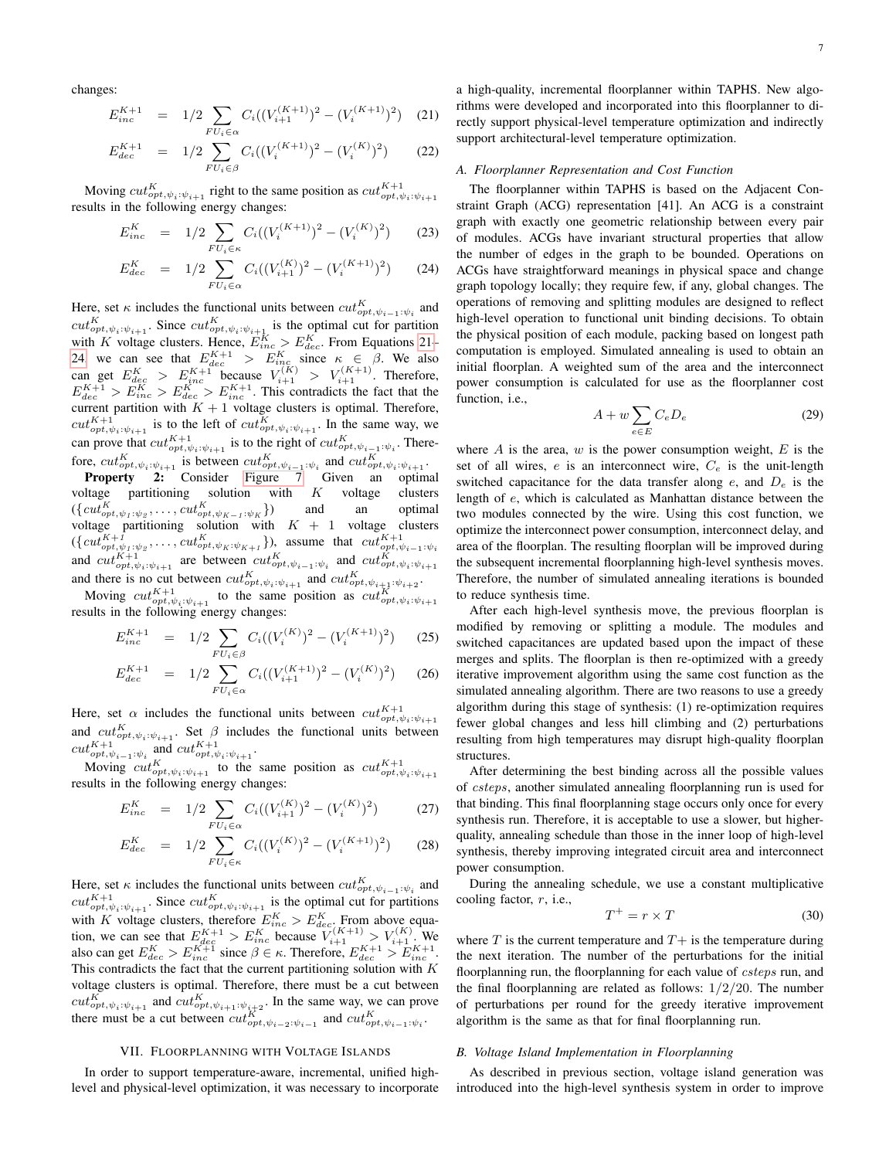changes:

<span id="page-6-0"></span>
$$
E_{inc}^{K+1} = 1/2 \sum_{FU_i \in \alpha} C_i ((V_{i+1}^{(K+1)})^2 - (V_i^{(K+1)})^2)
$$
 (21)

$$
E_{dec}^{K+1} = 1/2 \sum_{FU_i \in \beta} C_i((V_i^{(K+1)})^2 - (V_i^{(K)})^2)
$$
 (22)

Moving  $cut_{opt, \psi_i: \psi_{i+1}}^K$  right to the same position as  $cut_{opt, \psi_i: \psi_{i+1}}^{K+1}$  results in the following energy changes:

<span id="page-6-1"></span>
$$
E_{inc}^{K} = 1/2 \sum_{FU_i \in \kappa} C_i ((V_i^{(K+1)})^2 - (V_i^{(K)})^2)
$$
 (23)

$$
E_{dec}^{K} = 1/2 \sum_{FU_{i} \in \alpha} C_{i}((V_{i+1}^{(K)})^{2} - (V_{i}^{(K+1)})^{2}) \qquad (24)
$$

Here, set  $\kappa$  includes the functional units between  $cut_{opt, \psi_{i-1}:\psi_i}^K$  and There, set R includes the functional times between  $cu_{opt, \psi_{i-1}:\psi_i}$  and  $cut_{opt, \psi_i:\psi_{i+1}}$ . Since  $cut_{opt, \psi_i:\psi_{i+1}}$  is the optimal cut for partition with K voltage clusters. Hence,  $E_{inc}^{K} > E_{dec}^{K}$ . From Equations [21–](#page-6-0) [24,](#page-6-1) we can see that  $E_{dec}^{K+1} > E_{inc}^{K}$  since  $\kappa \in \beta$ . We also can get  $E_{dec}^K > E_{inc}^{K+1}$  because  $V_{i+1}^{(K)} > V_{i+1}^{(K+1)}$ . Therefore,  $E_{dec}^{K+1} > E_{inc}^{K} > E_{dec}^{K} > E_{inc}^{K+1}$ . This contradicts the fact that the current partition with  $K + 1$  voltage clusters is optimal. Therefore,  $cut_{opt, \psi_i: \psi_{i+1}}^{K+1}$  is to the left of  $cut_{opt, \psi_i: \psi_{i+1}}^K$ . In the same way, we can prove that  $cut_{opt, \psi_i: \psi_{i+1}}^{K+1}$  is to the right of  $cut_{opt, \psi_{i-1}: \psi_i}^{K}$ . Therefore,  $cut_{opt,\psi_i:\psi_{i+1}}^K$  is between  $cut_{opt,\psi_{i-1}:\psi_i}^K$  and  $cut_{opt,\psi_i:\psi_{i+1}}^K$ .

Property 2: Consider [Figure 7.](#page-7-0) Given an optimal voltage partitioning solution with  $K$  voltage clusters  $(\{cut^K_{opt, \psi_1 : \psi_2}, \dots, cut^K_{opt, \psi_{K-1} : \psi_K}\})$ }) and an optimal voltage partitioning solution with  $K + 1$  voltage clusters  $(\{cut_{opt,\psi_1\cdot\psi_2}^{K+1},\ldots, cut_{opt,\psi_K\cdot\psi_{K+1}}^{K}\}),$  assume that  $cut_{opt,\psi_i\cdot\psi_{i-1}\cdot\psi_i}^{K+1}$  and  $cut_{opt,\psi_i\cdot\psi_{i+1}}^{K+1}$  are between  $cut_{opt,\psi_i\cdot\psi_{i-1}\cdot\psi_i}^{K}$  and  $cut_{opt,\psi_i\cdot\psi_{i+1}}^{K+1}$ and there is no cut between  $cut_{opt,\psi_i:\psi_{i+1}}^K$  and  $cut_{opt,\psi_{i+1}:\psi_{i+2}}^K$ .

Moving  $cut^{K+1}_{opt, \psi_i: \psi_{i+1}}$  to the same position as  $cut^{K}_{opt, \psi_i: \psi_{i+1}}$ results in the following energy changes:

$$
E_{inc}^{K+1} = 1/2 \sum_{FU_i \in \beta} C_i ((V_i^{(K)})^2 - (V_i^{(K+1)})^2)
$$
 (25)

$$
E_{dec}^{K+1} = 1/2 \sum_{FU_i \in \alpha} C_i ((V_{i+1}^{(K+1)})^2 - (V_i^{(K)})^2)
$$
 (26)

Here, set  $\alpha$  includes the functional units between  $cut^{K+1}_{opt, \psi_i: \psi_{i+1}}$ and  $cut_{opt,\psi_i:\psi_{i+1}}^K$ . Set  $\beta$  includes the functional units between  $cut^{K+1}_{opt, \psi_{i-1}:\psi_i}$  and  $cut^{K+1}_{opt, \psi_i:\psi_{i+1}}$ .

Moving  $cut_{opt,\psi_i:\psi_{i+1}}^K$  to the same position as  $cut_{opt,\psi_i:\psi_{i+1}}^{K+1}$ results in the following energy changes:

$$
E_{inc}^{K} = 1/2 \sum_{FU_i \in \alpha} C_i ((V_{i+1}^{(K)})^2 - (V_i^{(K)})^2)
$$
 (27)

$$
E_{dec}^{K} = 1/2 \sum_{FU_i \in \kappa} C_i ((V_i^{(K)})^2 - (V_i^{(K+1)})^2)
$$
 (28)

Here, set  $\kappa$  includes the functional units between  $\textit{cut}_{opt, \psi_{i-1}:\psi_i}^K$  and  $cut_{opt, \psi_i: \psi_{i+1}}^{K+1}$ . Since  $cut_{opt, \psi_i: \psi_{i+1}}^{K}$  is the optimal cut for partitions with K voltage clusters, therefore  $E_{inc}^{K} > E_{dec}^{K}$ . From above equation, we can see that  $E_{dec}^{K+1} > E_{inc}^{K}$  because  $V_{i+1}^{(K+1)} > V_{i+1}^{(K)}$ . We also can get  $E_{dec}^K > E_{inc}^{K+1}$  since  $\beta \in \kappa$ . Therefore,  $E_{dec}^{K+1} > E_{inc}^{K+1}$ . This contradicts the fact that the current partitioning solution with  $K$ voltage clusters is optimal. Therefore, there must be a cut between  $cut_{opt, \psi_i: \psi_{i+1}}^K$  and  $cut_{opt, \psi_{i+1}: \psi_{i+2}}^K$ . In the same way, we can prove there must be a cut between  $cut_{opt, \psi_{i-2}:\psi_{i-1}}^K$  and  $cut_{opt, \psi_{i-1}:\psi_i}^K$ .

#### VII. FLOORPLANNING WITH VOLTAGE ISLANDS

<span id="page-6-3"></span>In order to support temperature-aware, incremental, unified highlevel and physical-level optimization, it was necessary to incorporate a high-quality, incremental floorplanner within TAPHS. New algorithms were developed and incorporated into this floorplanner to directly support physical-level temperature optimization and indirectly support architectural-level temperature optimization.

## *A. Floorplanner Representation and Cost Function*

The floorplanner within TAPHS is based on the Adjacent Constraint Graph (ACG) representation [41]. An ACG is a constraint graph with exactly one geometric relationship between every pair of modules. ACGs have invariant structural properties that allow the number of edges in the graph to be bounded. Operations on ACGs have straightforward meanings in physical space and change graph topology locally; they require few, if any, global changes. The operations of removing and splitting modules are designed to reflect high-level operation to functional unit binding decisions. To obtain the physical position of each module, packing based on longest path computation is employed. Simulated annealing is used to obtain an initial floorplan. A weighted sum of the area and the interconnect power consumption is calculated for use as the floorplanner cost function, i.e.,

<span id="page-6-2"></span>
$$
A + w \sum_{e \in E} C_e D_e \tag{29}
$$

where  $A$  is the area,  $w$  is the power consumption weight,  $E$  is the set of all wires,  $e$  is an interconnect wire,  $C_e$  is the unit-length switched capacitance for the data transfer along  $e$ , and  $D_e$  is the length of e, which is calculated as Manhattan distance between the two modules connected by the wire. Using this cost function, we optimize the interconnect power consumption, interconnect delay, and area of the floorplan. The resulting floorplan will be improved during the subsequent incremental floorplanning high-level synthesis moves. Therefore, the number of simulated annealing iterations is bounded to reduce synthesis time.

After each high-level synthesis move, the previous floorplan is modified by removing or splitting a module. The modules and switched capacitances are updated based upon the impact of these merges and splits. The floorplan is then re-optimized with a greedy iterative improvement algorithm using the same cost function as the simulated annealing algorithm. There are two reasons to use a greedy algorithm during this stage of synthesis: (1) re-optimization requires fewer global changes and less hill climbing and (2) perturbations resulting from high temperatures may disrupt high-quality floorplan structures.

After determining the best binding across all the possible values of csteps, another simulated annealing floorplanning run is used for that binding. This final floorplanning stage occurs only once for every synthesis run. Therefore, it is acceptable to use a slower, but higherquality, annealing schedule than those in the inner loop of high-level synthesis, thereby improving integrated circuit area and interconnect power consumption.

During the annealing schedule, we use a constant multiplicative cooling factor,  $r$ , i.e.,

$$
T^+ = r \times T \tag{30}
$$

where  $T$  is the current temperature and  $T+$  is the temperature during the next iteration. The number of the perturbations for the initial floorplanning run, the floorplanning for each value of csteps run, and the final floorplanning are related as follows:  $1/2/20$ . The number of perturbations per round for the greedy iterative improvement algorithm is the same as that for final floorplanning run.

#### *B. Voltage Island Implementation in Floorplanning*

As described in previous section, voltage island generation was introduced into the high-level synthesis system in order to improve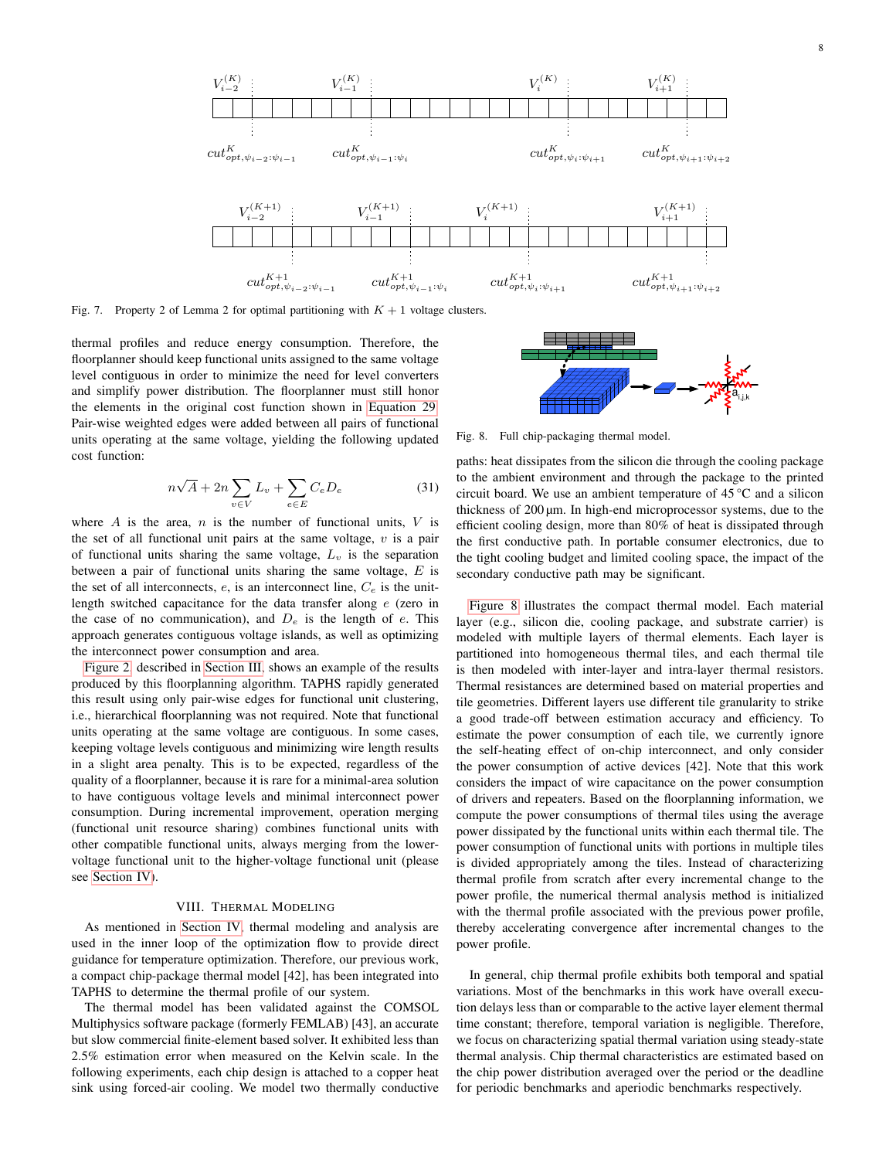

<span id="page-7-0"></span>Fig. 7. Property 2 of Lemma 2 for optimal partitioning with  $K + 1$  voltage clusters.

thermal profiles and reduce energy consumption. Therefore, the floorplanner should keep functional units assigned to the same voltage level contiguous in order to minimize the need for level converters and simplify power distribution. The floorplanner must still honor the elements in the original cost function shown in [Equation 29.](#page-6-2) Pair-wise weighted edges were added between all pairs of functional units operating at the same voltage, yielding the following updated cost function:

$$
n\sqrt{A} + 2n \sum_{v \in V} L_v + \sum_{e \in E} C_e D_e \tag{31}
$$

where  $A$  is the area,  $n$  is the number of functional units,  $V$  is the set of all functional unit pairs at the same voltage,  $v$  is a pair of functional units sharing the same voltage,  $L_v$  is the separation between a pair of functional units sharing the same voltage,  $E$  is the set of all interconnects,  $e$ , is an interconnect line,  $C_e$  is the unitlength switched capacitance for the data transfer along e (zero in the case of no communication), and  $D_e$  is the length of e. This approach generates contiguous voltage islands, as well as optimizing the interconnect power consumption and area.

[Figure 2,](#page-1-1) described in [Section III,](#page-1-2) shows an example of the results produced by this floorplanning algorithm. TAPHS rapidly generated this result using only pair-wise edges for functional unit clustering, i.e., hierarchical floorplanning was not required. Note that functional units operating at the same voltage are contiguous. In some cases, keeping voltage levels contiguous and minimizing wire length results in a slight area penalty. This is to be expected, regardless of the quality of a floorplanner, because it is rare for a minimal-area solution to have contiguous voltage levels and minimal interconnect power consumption. During incremental improvement, operation merging (functional unit resource sharing) combines functional units with other compatible functional units, always merging from the lowervoltage functional unit to the higher-voltage functional unit (please see [Section IV\)](#page-2-5).

## VIII. THERMAL MODELING

As mentioned in [Section IV,](#page-2-5) thermal modeling and analysis are used in the inner loop of the optimization flow to provide direct guidance for temperature optimization. Therefore, our previous work, a compact chip-package thermal model [42], has been integrated into TAPHS to determine the thermal profile of our system.

The thermal model has been validated against the COMSOL Multiphysics software package (formerly FEMLAB) [43], an accurate but slow commercial finite-element based solver. It exhibited less than 2.5% estimation error when measured on the Kelvin scale. In the following experiments, each chip design is attached to a copper heat sink using forced-air cooling. We model two thermally conductive



<span id="page-7-1"></span>Fig. 8. Full chip-packaging thermal model.

paths: heat dissipates from the silicon die through the cooling package to the ambient environment and through the package to the printed circuit board. We use an ambient temperature of 45 °C and a silicon thickness of 200 µm. In high-end microprocessor systems, due to the efficient cooling design, more than 80% of heat is dissipated through the first conductive path. In portable consumer electronics, due to the tight cooling budget and limited cooling space, the impact of the secondary conductive path may be significant.

[Figure 8](#page-7-1) illustrates the compact thermal model. Each material layer (e.g., silicon die, cooling package, and substrate carrier) is modeled with multiple layers of thermal elements. Each layer is partitioned into homogeneous thermal tiles, and each thermal tile is then modeled with inter-layer and intra-layer thermal resistors. Thermal resistances are determined based on material properties and tile geometries. Different layers use different tile granularity to strike a good trade-off between estimation accuracy and efficiency. To estimate the power consumption of each tile, we currently ignore the self-heating effect of on-chip interconnect, and only consider the power consumption of active devices [42]. Note that this work considers the impact of wire capacitance on the power consumption of drivers and repeaters. Based on the floorplanning information, we compute the power consumptions of thermal tiles using the average power dissipated by the functional units within each thermal tile. The power consumption of functional units with portions in multiple tiles is divided appropriately among the tiles. Instead of characterizing thermal profile from scratch after every incremental change to the power profile, the numerical thermal analysis method is initialized with the thermal profile associated with the previous power profile, thereby accelerating convergence after incremental changes to the power profile.

In general, chip thermal profile exhibits both temporal and spatial variations. Most of the benchmarks in this work have overall execution delays less than or comparable to the active layer element thermal time constant; therefore, temporal variation is negligible. Therefore, we focus on characterizing spatial thermal variation using steady-state thermal analysis. Chip thermal characteristics are estimated based on the chip power distribution averaged over the period or the deadline for periodic benchmarks and aperiodic benchmarks respectively.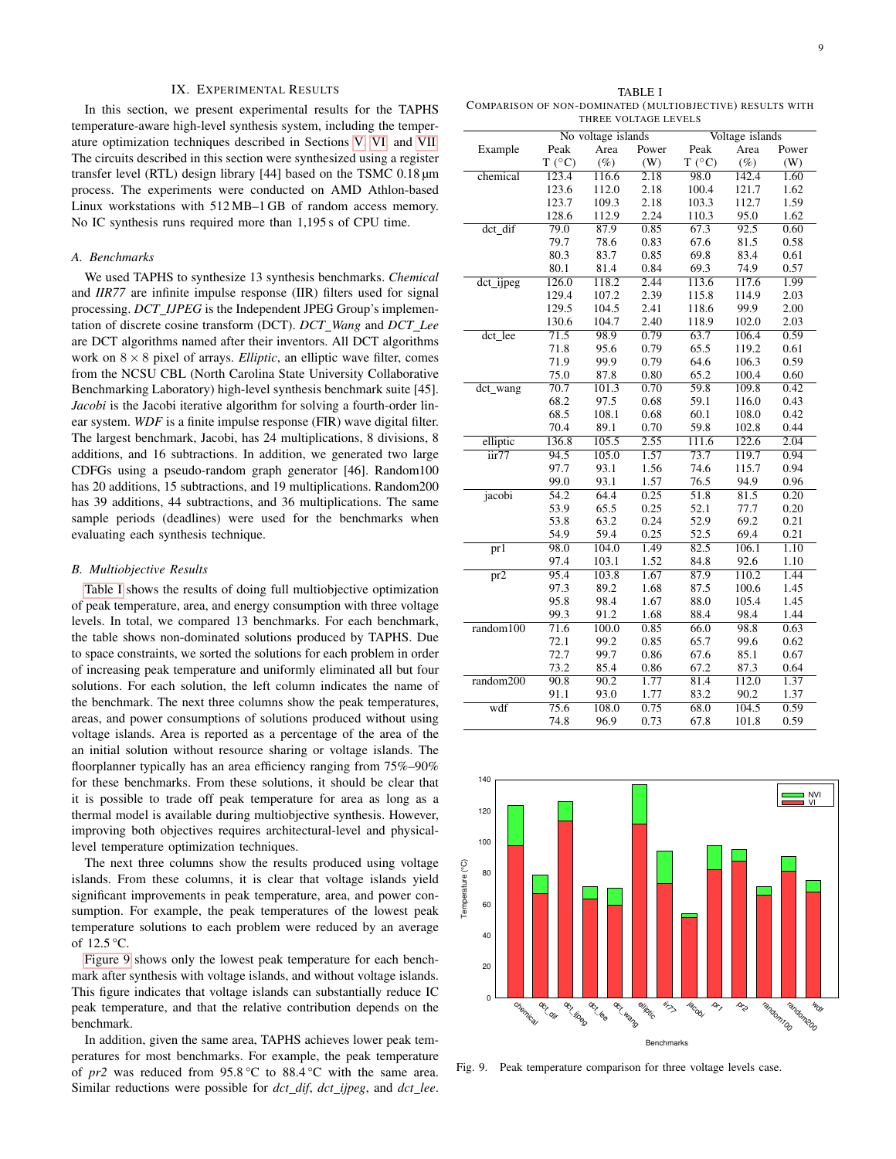### IX. EXPERIMENTAL RESULTS

<span id="page-8-0"></span>In this section, we present experimental results for the TAPHS temperature-aware high-level synthesis system, including the temperature optimization techniques described in Sections [V,](#page-2-4) [VI,](#page-3-0) and [VII.](#page-6-3) The circuits described in this section were synthesized using a register transfer level (RTL) design library [44] based on the TSMC 0.18 µm process. The experiments were conducted on AMD Athlon-based Linux workstations with 512 MB–1 GB of random access memory. No IC synthesis runs required more than 1,195 s of CPU time.

## *A. Benchmarks*

We used TAPHS to synthesize 13 synthesis benchmarks. *Chemical* and *IIR77* are infinite impulse response (IIR) filters used for signal processing. *DCT IJPEG* is the Independent JPEG Group's implementation of discrete cosine transform (DCT). *DCT Wang* and *DCT Lee* are DCT algorithms named after their inventors. All DCT algorithms work on  $8 \times 8$  pixel of arrays. *Elliptic*, an elliptic wave filter, comes from the NCSU CBL (North Carolina State University Collaborative Benchmarking Laboratory) high-level synthesis benchmark suite [45]. *Jacobi* is the Jacobi iterative algorithm for solving a fourth-order linear system. *WDF* is a finite impulse response (FIR) wave digital filter. The largest benchmark, Jacobi, has 24 multiplications, 8 divisions, 8 additions, and 16 subtractions. In addition, we generated two large CDFGs using a pseudo-random graph generator [46]. Random100 has 20 additions, 15 subtractions, and 19 multiplications. Random200 has 39 additions, 44 subtractions, and 36 multiplications. The same sample periods (deadlines) were used for the benchmarks when evaluating each synthesis technique.

## *B. Multiobjective Results*

[Table I](#page-8-1) shows the results of doing full multiobjective optimization of peak temperature, area, and energy consumption with three voltage levels. In total, we compared 13 benchmarks. For each benchmark, the table shows non-dominated solutions produced by TAPHS. Due to space constraints, we sorted the solutions for each problem in order of increasing peak temperature and uniformly eliminated all but four solutions. For each solution, the left column indicates the name of the benchmark. The next three columns show the peak temperatures, areas, and power consumptions of solutions produced without using voltage islands. Area is reported as a percentage of the area of the an initial solution without resource sharing or voltage islands. The floorplanner typically has an area efficiency ranging from 75%–90% for these benchmarks. From these solutions, it should be clear that it is possible to trade off peak temperature for area as long as a thermal model is available during multiobjective synthesis. However, improving both objectives requires architectural-level and physicallevel temperature optimization techniques.

The next three columns show the results produced using voltage islands. From these columns, it is clear that voltage islands yield significant improvements in peak temperature, area, and power consumption. For example, the peak temperatures of the lowest peak temperature solutions to each problem were reduced by an average of  $12.5^{\circ}$ C.

[Figure 9](#page-8-2) shows only the lowest peak temperature for each benchmark after synthesis with voltage islands, and without voltage islands. This figure indicates that voltage islands can substantially reduce IC peak temperature, and that the relative contribution depends on the benchmark.

In addition, given the same area, TAPHS achieves lower peak temperatures for most benchmarks. For example, the peak temperature of *pr2* was reduced from 95.8 °C to 88.4 °C with the same area. Similar reductions were possible for *dct dif*, *dct ijpeg*, and *dct lee*.

<span id="page-8-1"></span>TABLE I COMPARISON OF NON-DOMINATED (MULTIOBJECTIVE) RESULTS WITH THREE VOLTAGE LEVELS

|                         |                 | No voltage islands |                   | Voltage islands |        |       |
|-------------------------|-----------------|--------------------|-------------------|-----------------|--------|-------|
| Example                 | Peak            | Area               | Power             | Peak            | Area   | Power |
|                         | $T (^{\circ}C)$ | $(\%)$             | (W)               | $T (^{\circ}C)$ | $(\%)$ | (W)   |
| chemical                |                 |                    | $\overline{2.18}$ |                 |        |       |
|                         | 123.4           | 116.6              |                   | 98.0            | 142.4  | 1.60  |
|                         | 123.6           | 112.0              | 2.18              | 100.4           | 121.7  | 1.62  |
|                         | 123.7           | 109.3              | 2.18              | 103.3           | 112.7  | 1.59  |
|                         | 128.6           | 112.9              | 2.24              | 110.3           | 95.0   | 1.62  |
| dct_dif                 | 79.0            | 87.9               | 0.85              | 67.3            | 92.5   | 0.60  |
|                         | 79.7            | 78.6               | 0.83              | 67.6            | 81.5   | 0.58  |
|                         | 80.3            | 83.7               | 0.85              | 69.8            | 83.4   | 0.61  |
|                         | 80.1            | 81.4               | 0.84              | 69.3            | 74.9   | 0.57  |
| dct_ijpeg               | 126.0           | 118.2              | 2.44              | 113.6           | 117.6  | 1.99  |
|                         | 129.4           | 107.2              | 2.39              | 115.8           | 114.9  | 2.03  |
|                         | 129.5           | 104.5              | 2.41              | 118.6           | 99.9   | 2.00  |
|                         | 130.6           | 104.7              | 2.40              | 118.9           | 102.0  | 2.03  |
| dct lee                 | 71.5            | 98.9               | 0.79              | 63.7            | 106.4  | 0.59  |
|                         | 71.8            | 95.6               | 0.79              | 65.5            | 119.2  | 0.61  |
|                         | 71.9            | 99.9               | 0.79              | 64.6            | 106.3  | 0.59  |
|                         | 75.0            | 87.8               | 0.80              | 65.2            | 100.4  | 0.60  |
| dct_wang                | 70.7            | 101.3              | 0.70              | 59.8            | 109.8  | 0.42  |
|                         | 68.2            | 97.5               | 0.68              | 59.1            | 116.0  | 0.43  |
|                         | 68.5            | 108.1              | 0.68              | 60.1            | 108.0  | 0.42  |
|                         | 70.4            | 89.1               | 0.70              | 59.8            | 102.8  | 0.44  |
| elliptic                | 136.8           | 105.5              | 2.55              | 111.6           | 122.6  | 2.04  |
| iir77                   | 94.5            | 105.0              | 1.57              | 73.7            | 119.7  | 0.94  |
|                         | 97.7            | 93.1               | 1.56              | 74.6            | 115.7  | 0.94  |
|                         | 99.0            | 93.1               | 1.57              | 76.5            | 94.9   | 0.96  |
| jacobi                  | 54.2            | 64.4               | 0.25              | 51.8            | 81.5   | 0.20  |
|                         | 53.9            | 65.5               | 0.25              | 52.1            | 77.7   | 0.20  |
|                         | 53.8            | 63.2               | 0.24              | 52.9            | 69.2   | 0.21  |
|                         | 54.9            | 59.4               | 0.25              | 52.5            | 69.4   | 0.21  |
| $\overline{\text{pr1}}$ | 98.0            | 104.0              | 1.49              | 82.5            | 106.1  | 1.10  |
|                         | 97.4            | 103.1              | 1.52              | 84.8            | 92.6   | 1.10  |
| $\overline{\text{pr2}}$ | 95.4            | 103.8              | 1.67              | 87.9            | 110.2  | 1.44  |
|                         | 97.3            | 89.2               | 1.68              | 87.5            | 100.6  | 1.45  |
|                         | 95.8            | 98.4               | 1.67              | 88.0            | 105.4  | 1.45  |
|                         | 99.3            | 91.2               | 1.68              | 88.4            | 98.4   | 1.44  |
| random100               | 71.6            | 100.0              | 0.85              | 66.0            | 98.8   | 0.63  |
|                         | 72.1            | 99.2               | 0.85              | 65.7            | 99.6   | 0.62  |
|                         | 72.7            | 99.7               | 0.86              | 67.6            | 85.1   | 0.67  |
|                         | 73.2            | 85.4               | 0.86              | 67.2            | 87.3   | 0.64  |
| random200               | 90.8            | 90.2               | 1.77              | 81.4            | 112.0  | 1.37  |
|                         | 91.1            | 93.0               | 1.77              | 83.2            | 90.2   | 1.37  |
| wdf                     |                 | 108.0              |                   |                 |        |       |
|                         | 75.6            |                    | 0.75              | 68.0            | 104.5  | 0.59  |
|                         | 74.8            | 96.9               | 0.73              | 67.8            | 101.8  | 0.59  |



<span id="page-8-2"></span>Fig. 9. Peak temperature comparison for three voltage levels case.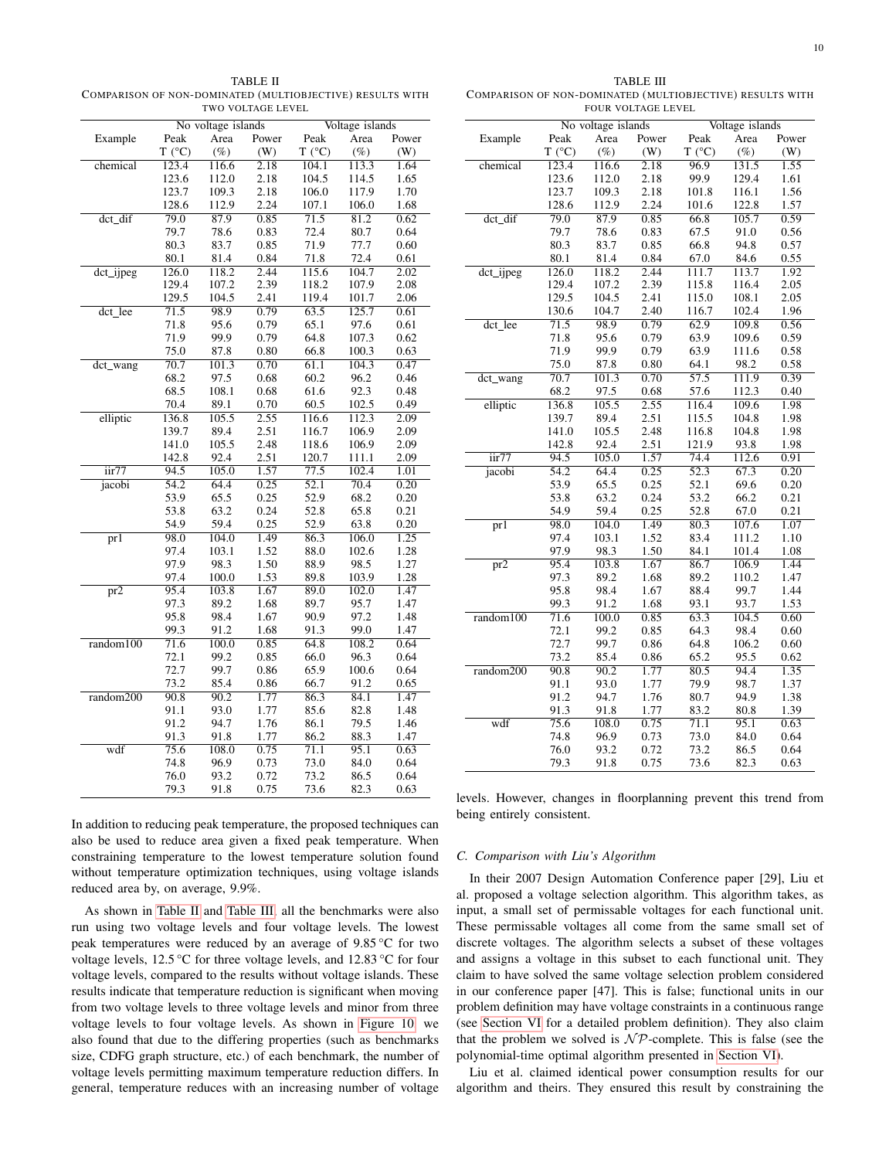<span id="page-9-0"></span>TABLE II COMPARISON OF NON-DOMINATED (MULTIOBJECTIVE) RESULTS WITH TWO VOLTAGE LEVEL

<span id="page-9-1"></span>TABLE III COMPARISON OF NON-DOMINATED (MULTIOBJECTIVE) RESULTS WITH FOUR VOLTAGE LEVEL

No voltage islands Voltage islands

|                               |                   | No voltage islands |       | Voltage islands   |        |                   |
|-------------------------------|-------------------|--------------------|-------|-------------------|--------|-------------------|
| Example                       | Peak              | Area               | Power | Peak              | Area   | Power             |
|                               | T (°C)            | $(\%)$             | (W)   | T (°C)            | $(\%)$ | (W)               |
| chemical                      | 123.4             | 116.6              | 2.18  | 104.1             | 113.3  | $1.\overline{64}$ |
|                               | 123.6             | 112.0              | 2.18  | 104.5             | 114.5  | 1.65              |
|                               | 123.7             | 109.3              | 2.18  | 106.0             | 117.9  | 1.70              |
|                               | 128.6             | 112.9              | 2.24  | 107.1             | 106.0  | 1.68              |
| $det_idif$                    | 79.0              | 87.9               | 0.85  | 71.5              | 81.2   | 0.62              |
|                               | 79.7              | 78.6               | 0.83  | 72.4              | 80.7   | 0.64              |
|                               | 80.3              | 83.7               | 0.85  | 71.9              | 77.7   | 0.60              |
|                               | 80.1              | 81.4               | 0.84  | 71.8              | 72.4   | 0.61              |
| dct_ijpeg                     | 126.0             | 118.2              | 2.44  | 115.6             | 104.7  | 2.02              |
|                               | 129.4             | 107.2              | 2.39  | 118.2             | 107.9  | 2.08              |
|                               | 129.5             | 104.5              | 2.41  | 119.4             | 101.7  | 2.06              |
| $\overline{\text{dct\_lee}}$  | 71.5              | 98.9               | 0.79  | 63.5              | 125.7  | 0.61              |
|                               | 71.8              | 95.6               | 0.79  | 65.1              | 97.6   | 0.61              |
|                               | 71.9              | 99.9               | 0.79  | 64.8              | 107.3  | 0.62              |
|                               | 75.0              | 87.8               | 0.80  | 66.8              | 100.3  | 0.63              |
| dct_wang                      | 70.7              | 101.3              | 0.70  | 61.1              | 104.3  | 0.47              |
|                               | 68.2              | 97.5               | 0.68  | 60.2              | 96.2   | 0.46              |
|                               | 68.5              | 108.1              | 0.68  | 61.6              | 92.3   | 0.48              |
|                               | 70.4              | 89.1               | 0.70  | 60.5              | 102.5  | 0.49              |
| elliptic                      | 136.8             | 105.5              | 2.55  | 116.6             | 112.3  | 2.09              |
|                               | 139.7             | 89.4               | 2.51  | 116.7             | 106.9  | 2.09              |
|                               | 141.0             | 105.5              | 2.48  | 118.6             | 106.9  | 2.09              |
|                               | 142.8             | 92.4               | 2.51  | 120.7             | 111.1  | 2.09              |
| $\frac{1}{\text{air}}$        | 94.5              | 105.0              | 1.57  | 77.5              | 102.4  | 1.01              |
| jacobi                        | $\overline{54.2}$ | 64.4               | 0.25  | $\overline{52.1}$ | 70.4   | 0.20              |
|                               | 53.9              | 65.5               | 0.25  | 52.9              | 68.2   | 0.20              |
|                               | 53.8              | 63.2               | 0.24  | 52.8              | 65.8   | 0.21              |
|                               | 54.9              | 59.4               | 0.25  | 52.9              | 63.8   | 0.20              |
| $\overline{\text{pr1}}$       | 98.0              | 104.0              | 1.49  | 86.3              | 106.0  | 1.25              |
|                               | 97.4              | 103.1              | 1.52  | 88.0              | 102.6  | 1.28              |
|                               | 97.9              | 98.3               | 1.50  | 88.9              | 98.5   | 1.27              |
|                               | 97.4              | 100.0              | 1.53  | 89.8              | 103.9  | 1.28              |
| $\overline{\text{pr2}}$       | 95.4              | 103.8              | 1.67  | 89.0              | 102.0  | 1.47              |
|                               | 97.3              | 89.2               | 1.68  | 89.7              | 95.7   | 1.47              |
|                               | 95.8              | 98.4               | 1.67  | 90.9              | 97.2   | 1.48              |
|                               | 99.3              | 91.2               | 1.68  | 91.3              | 99.0   | 1.47              |
| random100                     | 71.6              | 100.0              | 0.85  | 64.8              | 108.2  | 0.64              |
|                               | 72.1              | 99.2               | 0.85  | 66.0              | 96.3   | 0.64              |
|                               | 72.7              | 99.7               | 0.86  | 65.9              | 100.6  | 0.64              |
|                               | 73.2              | 85.4               | 0.86  | 66.7              | 91.2   | 0.65              |
| $\overline{\text{random200}}$ | 90.8              | 90.2               | 1.77  | 86.3              | 84.1   | 1.47              |
|                               | 91.1              | 93.0               | 1.77  | 85.6              | 82.8   | 1.48              |
|                               | 91.2              | 94.7               | 1.76  | 86.1              | 79.5   | 1.46              |
|                               | 91.3              | 91.8               | 1.77  | 86.2              | 88.3   | 1.47              |
| wdf                           | 75.6              | 108.0              | 0.75  | 71.1              | 95.1   | 0.63              |
|                               | 74.8              | 96.9               | 0.73  | 73.0              | 84.0   | 0.64              |
|                               | 76.0              | 93.2               | 0.72  | 73.2              | 86.5   | 0.64              |
|                               | 79.3              | 91.8               | 0.75  | 73.6              | 82.3   | 0.63              |

Example Peak Area Power Peak Area Power<br>  $T(^{\circ}C)$  (%) (W)  $T(^{\circ}C)$  (%) (W)  $T(\degree C)$  (%) (W)  $T(\degree C)$  (%) chemical 123.4 116.6 2.18 96.9 131.5 1.55 123.6 112.0 2.18 99.9 129.4 1.61 123.7 109.3 2.18 101.8 116.1 1.56 128.6 112.9 2.24 101.6 122.8 1.57 dct dif 79.0 87.9 0.85 66.8 105.7 0.59 79.7 78.6 0.83 67.5 91.0 0.56 80.3 83.7 0.85 66.8 94.8 0.57 80.1 81.4 0.84 67.0 84.6 0.55 dct\_ijpeg 126.0 118.2 2.44 111.7 113.7 1.92 129.4 107.2 2.39 115.8 116.4 2.05 129.5 104.5 2.41 115.0 108.1 2.05 130.6 104.7 2.40 116.7 102.4 1.96 dct lee 71.5 98.9 0.79 62.9 109.8 0.56 71.8 95.6 0.79 63.9 109.6 0.59 111.6 75.0 87.8 0.80 64.1 98.2 0.58 dct\_wang 70.7 101.3 0.70 57.5 111.9 0.39<br>68.2 97.5 0.68 57.6 112.3 0.40 68.2 97.5 0.68 57.6 112.3 0.40 elliptic 136.8 105.5 2.55 116.4 109.6 1.98 139.7 89.4 2.51 115.5 104.8 1.98 141.0 105.5 2.48 116.8 104.8 1.98 142.8 92.4 2.51 121.9 93.8 1.98 iir77 94.5 105.0 1.57 74.4 112.6 0.91 jacobi 54.2 64.4 0.25 52.3 67.3 0.20 53.9 65.5 0.25 52.1 69.6 0.20 53.8 63.2 0.24 53.2 66.2 0.21 54.9 59.4 0.25 52.8 67.0 0.21 pr1 98.0 104.0 1.49 80.3 107.6 1.07 97.4 103.1 1.52 83.4 111.2 1.10 97.9 98.3 1.50 84.1 101.4 1.08 pr2 95.4 103.8 1.67 86.7 106.9 1.44 97.3 89.2 1.68 89.2 110.2 1.47 95.8 98.4 1.67 88.4 99.7 1.44 99.3 91.2 1.68 93.1 93.7 1.53 random100 71.6 100.0 0.85 63.3 104.5 0.60 72.1 99.2 0.85 64.3 98.4 0.60 72.7 99.7 0.86 64.8 106.2 0.60 73.2 85.4 0.86 65.2 95.5 0.62 random200 90.8 90.2 1.77 80.5 94.4 1.35 91.1 93.0 1.77 79.9 98.7 1.37 91.2 94.7 1.76 80.7 94.9 1.38 91.3 91.8 1.77 83.2 80.8 1.39 wdf 75.6 108.0 0.75 71.1 95.1 0.63 74.8 96.9 0.73 73.0 84.0 0.64 76.0 93.2 0.72 73.2 86.5 0.64 79.3 91.8 0.75 73.6 82.3 0.63

In addition to reducing peak temperature, the proposed techniques can also be used to reduce area given a fixed peak temperature. When constraining temperature to the lowest temperature solution found without temperature optimization techniques, using voltage islands reduced area by, on average, 9.9%.

As shown in [Table II](#page-9-0) and [Table III,](#page-9-1) all the benchmarks were also run using two voltage levels and four voltage levels. The lowest peak temperatures were reduced by an average of 9.85 °C for two voltage levels, 12.5 °C for three voltage levels, and 12.83 °C for four voltage levels, compared to the results without voltage islands. These results indicate that temperature reduction is significant when moving from two voltage levels to three voltage levels and minor from three voltage levels to four voltage levels. As shown in [Figure 10,](#page-10-0) we also found that due to the differing properties (such as benchmarks size, CDFG graph structure, etc.) of each benchmark, the number of voltage levels permitting maximum temperature reduction differs. In general, temperature reduces with an increasing number of voltage

levels. However, changes in floorplanning prevent this trend from being entirely consistent.

#### *C. Comparison with Liu's Algorithm*

In their 2007 Design Automation Conference paper [29], Liu et al. proposed a voltage selection algorithm. This algorithm takes, as input, a small set of permissable voltages for each functional unit. These permissable voltages all come from the same small set of discrete voltages. The algorithm selects a subset of these voltages and assigns a voltage in this subset to each functional unit. They claim to have solved the same voltage selection problem considered in our conference paper [47]. This is false; functional units in our problem definition may have voltage constraints in a continuous range (see [Section VI](#page-3-0) for a detailed problem definition). They also claim that the problem we solved is  $N\mathcal{P}$ -complete. This is false (see the polynomial-time optimal algorithm presented in [Section VI\)](#page-3-0).

Liu et al. claimed identical power consumption results for our algorithm and theirs. They ensured this result by constraining the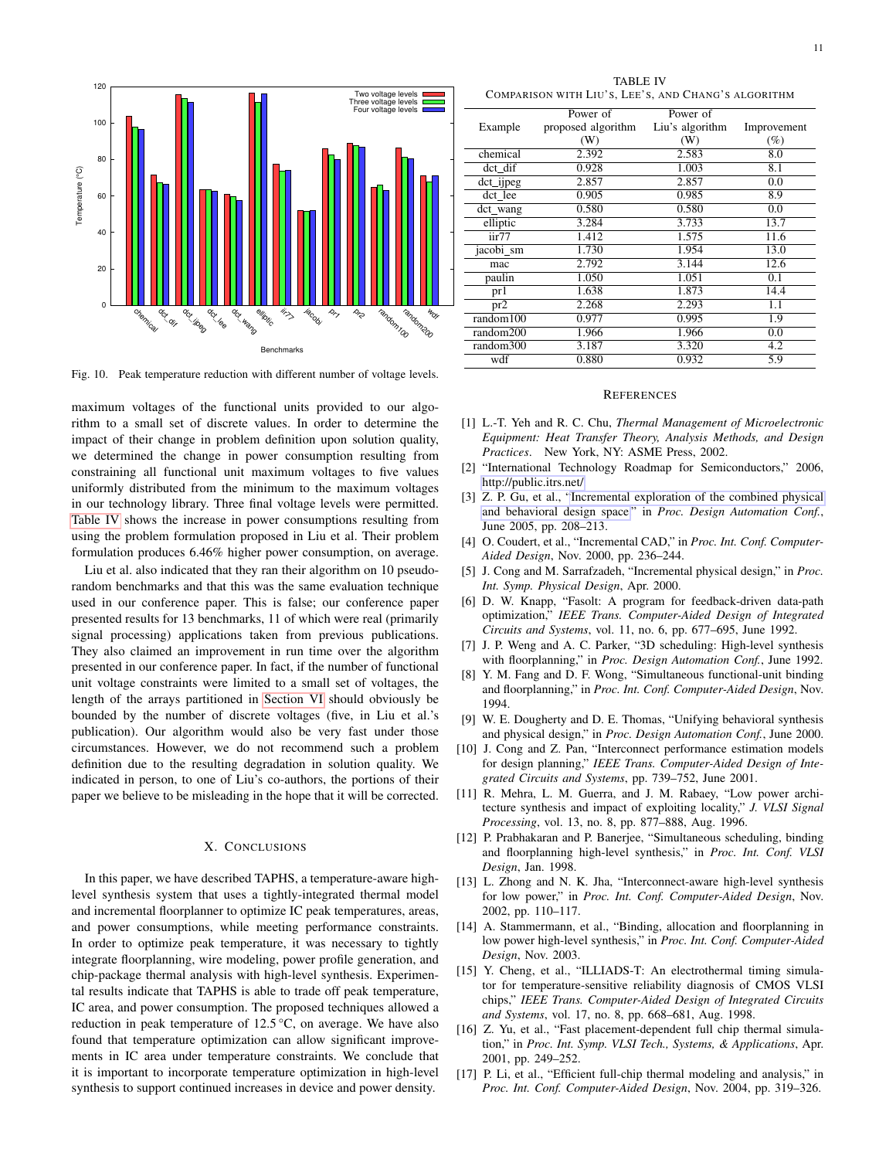

<span id="page-10-0"></span>Fig. 10. Peak temperature reduction with different number of voltage levels.

maximum voltages of the functional units provided to our algorithm to a small set of discrete values. In order to determine the impact of their change in problem definition upon solution quality, we determined the change in power consumption resulting from constraining all functional unit maximum voltages to five values uniformly distributed from the minimum to the maximum voltages in our technology library. Three final voltage levels were permitted. [Table IV](#page-10-1) shows the increase in power consumptions resulting from using the problem formulation proposed in Liu et al. Their problem formulation produces 6.46% higher power consumption, on average.

Liu et al. also indicated that they ran their algorithm on 10 pseudorandom benchmarks and that this was the same evaluation technique used in our conference paper. This is false; our conference paper presented results for 13 benchmarks, 11 of which were real (primarily signal processing) applications taken from previous publications. They also claimed an improvement in run time over the algorithm presented in our conference paper. In fact, if the number of functional unit voltage constraints were limited to a small set of voltages, the length of the arrays partitioned in [Section VI](#page-3-0) should obviously be bounded by the number of discrete voltages (five, in Liu et al.'s publication). Our algorithm would also be very fast under those circumstances. However, we do not recommend such a problem definition due to the resulting degradation in solution quality. We indicated in person, to one of Liu's co-authors, the portions of their paper we believe to be misleading in the hope that it will be corrected.

## X. CONCLUSIONS

In this paper, we have described TAPHS, a temperature-aware highlevel synthesis system that uses a tightly-integrated thermal model and incremental floorplanner to optimize IC peak temperatures, areas, and power consumptions, while meeting performance constraints. In order to optimize peak temperature, it was necessary to tightly integrate floorplanning, wire modeling, power profile generation, and chip-package thermal analysis with high-level synthesis. Experimental results indicate that TAPHS is able to trade off peak temperature, IC area, and power consumption. The proposed techniques allowed a reduction in peak temperature of  $12.5\text{ °C}$ , on average. We have also found that temperature optimization can allow significant improvements in IC area under temperature constraints. We conclude that it is important to incorporate temperature optimization in high-level synthesis to support continued increases in device and power density.

TABLE IV COMPARISON WITH LIU'S, LEE'S, AND CHANG'S ALGORITHM

<span id="page-10-1"></span>

|                 | Power of           | Power of        |             |
|-----------------|--------------------|-----------------|-------------|
| Example         | proposed algorithm | Liu's algorithm | Improvement |
|                 | (W)                | (W)             | (%)         |
| chemical        | 2.392              | 2.583           | 8.0         |
| $dct_d$         | 0.928              | 1.003           | 8.1         |
| $dct_{ij}$      | 2.857              | 2.857           | 0.0         |
| dct lee         | 0.905              | 0.985           | 8.9         |
| dct wang        | 0.580              | 0.580           | 0.0         |
| elliptic        | 3.284              | 3.733           | 13.7        |
| iir77           | 1.412              | 1.575           | 11.6        |
| jacobi sm       | 1.730              | 1.954           | 13.0        |
| mac             | 2.792              | 3.144           | 12.6        |
| paulin          | 1.050              | 1.051           | 0.1         |
| pr1             | 1.638              | 1.873           | 14.4        |
| pr <sub>2</sub> | 2.268              | 2.293           | 1.1         |
| random100       | 0.977              | 0.995           | 1.9         |
| random200       | 1.966              | 1.966           | 0.0         |
| random300       | 3.187              | 3.320           | 4.2         |
| wdf             | 0.880              | 0.932           | 5.9         |

#### **REFERENCES**

- [1] L.-T. Yeh and R. C. Chu, *Thermal Management of Microelectronic Equipment: Heat Transfer Theory, Analysis Methods, and Design Practices*. New York, NY: ASME Press, 2002.
- [2] "International Technology Roadmap for Semiconductors," 2006, [http://public.itrs.net/.](http://public.itrs.net/)
- [3] Z. P. Gu, et al., ["Incremental exploration of the combined physical](http://robertdick.org/publications/gu05jun.pdf) [and behavioral design space,](http://robertdick.org/publications/gu05jun.pdf)" in *Proc. Design Automation Conf.*, June 2005, pp. 208–213.
- [4] O. Coudert, et al., "Incremental CAD," in *Proc. Int. Conf. Computer-Aided Design*, Nov. 2000, pp. 236–244.
- [5] J. Cong and M. Sarrafzadeh, "Incremental physical design," in *Proc. Int. Symp. Physical Design*, Apr. 2000.
- [6] D. W. Knapp, "Fasolt: A program for feedback-driven data-path optimization," *IEEE Trans. Computer-Aided Design of Integrated Circuits and Systems*, vol. 11, no. 6, pp. 677–695, June 1992.
- [7] J. P. Weng and A. C. Parker, "3D scheduling: High-level synthesis with floorplanning," in *Proc. Design Automation Conf.*, June 1992.
- [8] Y. M. Fang and D. F. Wong, "Simultaneous functional-unit binding and floorplanning," in *Proc. Int. Conf. Computer-Aided Design*, Nov. 1994.
- [9] W. E. Dougherty and D. E. Thomas, "Unifying behavioral synthesis and physical design," in *Proc. Design Automation Conf.*, June 2000.
- [10] J. Cong and Z. Pan, "Interconnect performance estimation models for design planning," *IEEE Trans. Computer-Aided Design of Integrated Circuits and Systems*, pp. 739–752, June 2001.
- [11] R. Mehra, L. M. Guerra, and J. M. Rabaey, "Low power architecture synthesis and impact of exploiting locality," *J. VLSI Signal Processing*, vol. 13, no. 8, pp. 877–888, Aug. 1996.
- [12] P. Prabhakaran and P. Banerjee, "Simultaneous scheduling, binding and floorplanning high-level synthesis," in *Proc. Int. Conf. VLSI Design*, Jan. 1998.
- [13] L. Zhong and N. K. Jha, "Interconnect-aware high-level synthesis for low power," in *Proc. Int. Conf. Computer-Aided Design*, Nov. 2002, pp. 110–117.
- [14] A. Stammermann, et al., "Binding, allocation and floorplanning in low power high-level synthesis," in *Proc. Int. Conf. Computer-Aided Design*, Nov. 2003.
- [15] Y. Cheng, et al., "ILLIADS-T: An electrothermal timing simulator for temperature-sensitive reliability diagnosis of CMOS VLSI chips," *IEEE Trans. Computer-Aided Design of Integrated Circuits and Systems*, vol. 17, no. 8, pp. 668–681, Aug. 1998.
- [16] Z. Yu, et al., "Fast placement-dependent full chip thermal simulation," in *Proc. Int. Symp. VLSI Tech., Systems, & Applications*, Apr. 2001, pp. 249–252.
- [17] P. Li, et al., "Efficient full-chip thermal modeling and analysis," in *Proc. Int. Conf. Computer-Aided Design*, Nov. 2004, pp. 319–326.